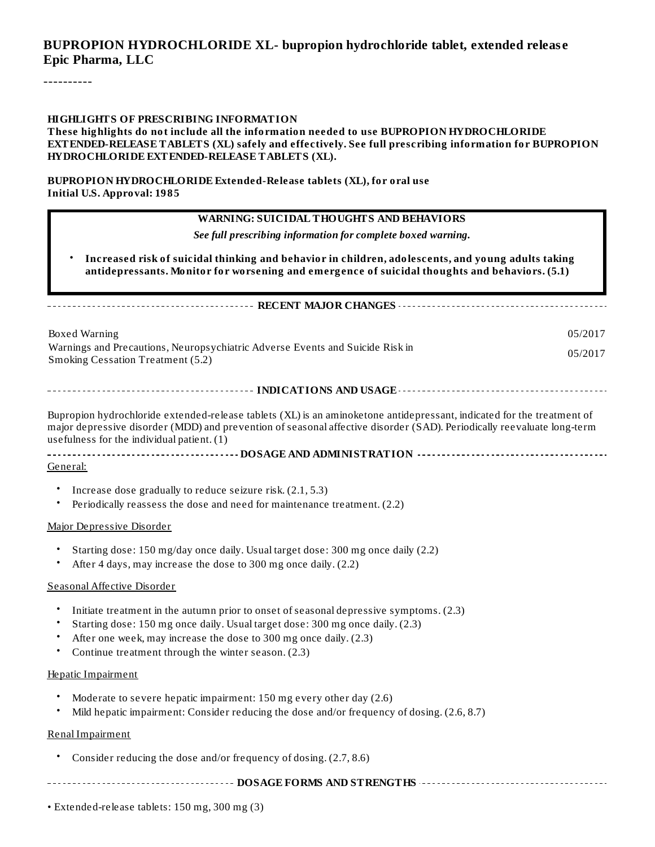#### **BUPROPION HYDROCHLORIDE XL- bupropion hydrochloride tablet, extended releas e Epic Pharma, LLC**

----------

#### **HIGHLIGHTS OF PRESCRIBING INFORMATION**

**These highlights do not include all the information needed to use BUPROPION HYDROCHLORIDE EXTENDED-RELEASE TABLETS (XL) safely and effectively. See full prescribing information for BUPROPION HYDROCHLORIDE EXTENDED-RELEASE TABLETS (XL).**

**BUPROPION HYDROCHLORIDE Extended-Release tablets (XL), for oral use Initial U.S. Approval: 1985**

#### **WARNING: SUICIDAL THOUGHTS AND BEHAVIORS**

*See full prescribing information for complete boxed warning.*

• **Increased risk of suicidal thinking and behavior in children, adolescents, and young adults taking antidepressants. Monitor for worsening and emergence of suicidal thoughts and behaviors. (5.1)**

#### **RECENT MAJOR CHANGES** Boxed Warning 05/2017 Warnings and Precautions, Neuropsychiatric Adverse Events and Suicide Risk in Smoking Cessation Treatment (5.2) 05/2017 **INDICATIONS AND USAGE INDICATIONS AND USAGE** *CONSIDERATIONS* **AND USAGE** *AND* **USAGE** *AND* **USAGE** *AND*

Bupropion hydrochloride extended-release tablets (XL) is an aminoketone antidepressant, indicated for the treatment of major depressive disorder (MDD) and prevention of seasonal affective disorder (SAD). Periodically reevaluate long-term usefulness for the individual patient. (1)

**DOSAGE AND ADMINISTRATION** General:

- Increase dose gradually to reduce seizure risk. (2.1, 5.3)
- Periodically reassess the dose and need for maintenance treatment. (2.2)

#### Major Depressive Disorder

- Starting dose: 150 mg/day once daily. Usual target dose: 300 mg once daily (2.2)
- After 4 days, may increase the dose to 300 mg once daily. (2.2)

#### Seasonal Affective Disorder

- Initiate treatment in the autumn prior to onset of seasonal depressive symptoms. (2.3)
- Starting dose: 150 mg once daily. Usual target dose: 300 mg once daily. (2.3)
- After one week, may increase the dose to 300 mg once daily. (2.3)
- Continue treatment through the winter season. (2.3)

#### Hepatic Impairment

- Moderate to severe hepatic impairment: 150 mg every other day (2.6)
- Mild hepatic impairment: Consider reducing the dose and/or frequency of dosing. (2.6, 8.7)

#### Renal Impairment

• Consider reducing the dose and/or frequency of dosing. (2.7, 8.6)

**DOSAGE FORMS AND STRENGTHS**

• Extended-release tablets: 150 mg, 300 mg (3)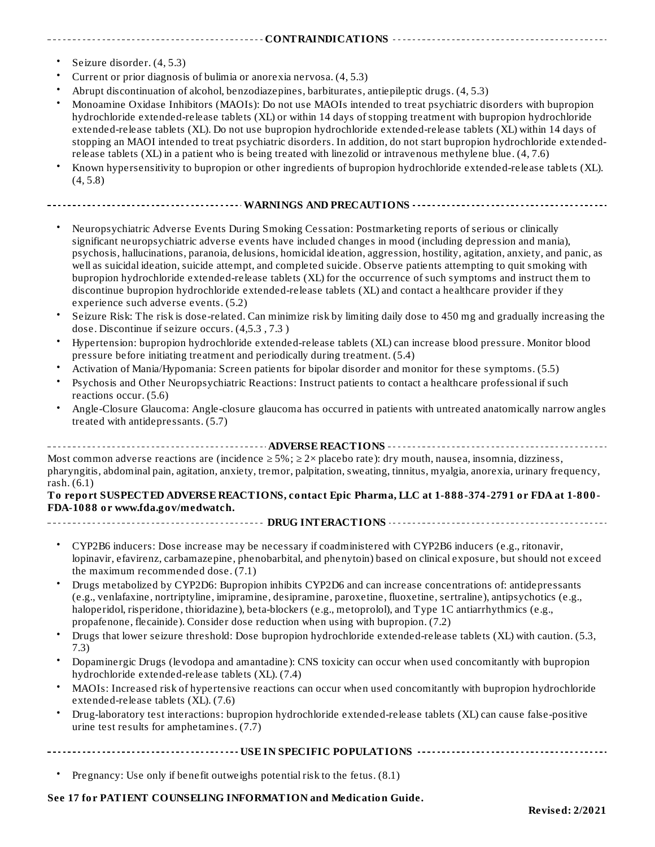#### **CONTRAINDICATIONS**

- Seizure disorder. (4, 5.3)
- Current or prior diagnosis of bulimia or anorexia nervosa. (4, 5.3)
- Abrupt discontinuation of alcohol, benzodiazepines, barbiturates, antiepileptic drugs. (4, 5.3)
- Monoamine Oxidase Inhibitors (MAOIs): Do not use MAOIs intended to treat psychiatric disorders with bupropion hydrochloride extended-release tablets (XL) or within 14 days of stopping treatment with bupropion hydrochloride extended-release tablets (XL). Do not use bupropion hydrochloride extended-release tablets (XL) within 14 days of stopping an MAOI intended to treat psychiatric disorders. In addition, do not start bupropion hydrochloride extendedrelease tablets (XL) in a patient who is being treated with linezolid or intravenous methylene blue. (4, 7.6)
- Known hypersensitivity to bupropion or other ingredients of bupropion hydrochloride extended-release tablets (XL). (4, 5.8)

#### **WARNINGS AND PRECAUTIONS**

- Neuropsychiatric Adverse Events During Smoking Cessation: Postmarketing reports of serious or clinically significant neuropsychiatric adverse events have included changes in mood (including depression and mania), psychosis, hallucinations, paranoia, delusions, homicidal ideation, aggression, hostility, agitation, anxiety, and panic, as well as suicidal ideation, suicide attempt, and completed suicide. Observe patients attempting to quit smoking with bupropion hydrochloride extended-release tablets (XL) for the occurrence of such symptoms and instruct them to discontinue bupropion hydrochloride extended-release tablets (XL) and contact a healthcare provider if they experience such adverse events. (5.2)
- Seizure Risk: The risk is dose-related. Can minimize risk by limiting daily dose to 450 mg and gradually increasing the dose. Discontinue if seizure occurs. (4,5.3 , 7.3 )
- Hypertension: bupropion hydrochloride extended-release tablets (XL) can increase blood pressure. Monitor blood pressure before initiating treatment and periodically during treatment. (5.4)
- Activation of Mania/Hypomania: Screen patients for bipolar disorder and monitor for these symptoms. (5.5)
- Psychosis and Other Neuropsychiatric Reactions: Instruct patients to contact a healthcare professional if such reactions occur. (5.6)
- Angle-Closure Glaucoma: Angle-closure glaucoma has occurred in patients with untreated anatomically narrow angles treated with antidepressants. (5.7)

**ADVERSE REACTIONS** Most common adverse reactions are (incidence  $\geq$  5%;  $\geq$  2× placebo rate): dry mouth, nausea, insomnia, dizziness, pharyngitis, abdominal pain, agitation, anxiety, tremor, palpitation, sweating, tinnitus, myalgia, anorexia, urinary frequency, rash. (6.1)

#### **To report SUSPECTED ADVERSE REACTIONS, contact Epic Pharma, LLC at 1-888-374-2791 or FDA at 1-800- FDA-1088 or www.fda.gov/medwatch.**

- **DRUG INTERACTIONS**
	- CYP2B6 inducers: Dose increase may be necessary if coadministered with CYP2B6 inducers (e.g., ritonavir, lopinavir, efavirenz, carbamazepine, phenobarbital, and phenytoin) based on clinical exposure, but should not exceed the maximum recommended dose. (7.1)
	- Drugs metabolized by CYP2D6: Bupropion inhibits CYP2D6 and can increase concentrations of: antidepressants (e.g., venlafaxine, nortriptyline, imipramine, desipramine, paroxetine, fluoxetine, sertraline), antipsychotics (e.g., haloperidol, risperidone, thioridazine), beta-blockers (e.g., metoprolol), and Type 1C antiarrhythmics (e.g., propafenone, flecainide). Consider dose reduction when using with bupropion. (7.2)
	- Drugs that lower seizure threshold: Dose bupropion hydrochloride extended-release tablets (XL) with caution. (5.3, 7.3)
	- Dopaminergic Drugs (levodopa and amantadine): CNS toxicity can occur when used concomitantly with bupropion hydrochloride extended-release tablets (XL). (7.4)
	- MAOIs: Increased risk of hypertensive reactions can occur when used concomitantly with bupropion hydrochloride extended-release tablets (XL). (7.6)
	- Drug-laboratory test interactions: bupropion hydrochloride extended-release tablets (XL) can cause false-positive urine test results for amphetamines. (7.7)
- **USE IN SPECIFIC POPULATIONS**
- Pregnancy: Use only if benefit outweighs potential risk to the fetus. (8.1)

**See 17 for PATIENT COUNSELING INFORMATION and Medication Guide.**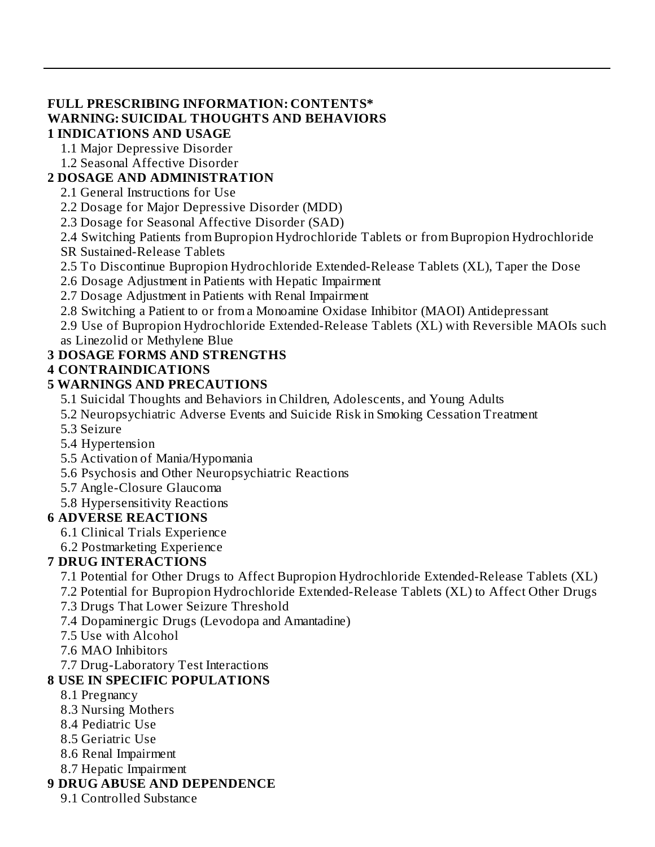#### **FULL PRESCRIBING INFORMATION: CONTENTS\* WARNING: SUICIDAL THOUGHTS AND BEHAVIORS 1 INDICATIONS AND USAGE**

1.1 Major Depressive Disorder

1.2 Seasonal Affective Disorder

# **2 DOSAGE AND ADMINISTRATION**

- 2.1 General Instructions for Use
- 2.2 Dosage for Major Depressive Disorder (MDD)
- 2.3 Dosage for Seasonal Affective Disorder (SAD)
- 2.4 Switching Patients from Bupropion Hydrochloride Tablets or from Bupropion Hydrochloride
- SR Sustained-Release Tablets
- 2.5 To Discontinue Bupropion Hydrochloride Extended-Release Tablets (XL), Taper the Dose
- 2.6 Dosage Adjustment in Patients with Hepatic Impairment
- 2.7 Dosage Adjustment in Patients with Renal Impairment
- 2.8 Switching a Patient to or from a Monoamine Oxidase Inhibitor (MAOI) Antidepressant
- 2.9 Use of Bupropion Hydrochloride Extended-Release Tablets (XL) with Reversible MAOIs such as Linezolid or Methylene Blue

# **3 DOSAGE FORMS AND STRENGTHS**

#### **4 CONTRAINDICATIONS**

#### **5 WARNINGS AND PRECAUTIONS**

- 5.1 Suicidal Thoughts and Behaviors in Children, Adolescents, and Young Adults
- 5.2 Neuropsychiatric Adverse Events and Suicide Risk in Smoking Cessation Treatment
- 5.3 Seizure
- 5.4 Hypertension
- 5.5 Activation of Mania/Hypomania
- 5.6 Psychosis and Other Neuropsychiatric Reactions
- 5.7 Angle-Closure Glaucoma
- 5.8 Hypersensitivity Reactions

### **6 ADVERSE REACTIONS**

- 6.1 Clinical Trials Experience
- 6.2 Postmarketing Experience

### **7 DRUG INTERACTIONS**

- 7.1 Potential for Other Drugs to Affect Bupropion Hydrochloride Extended-Release Tablets (XL) 7.2 Potential for Bupropion Hydrochloride Extended-Release Tablets (XL) to Affect Other Drugs
- 7.3 Drugs That Lower Seizure Threshold
- 7.4 Dopaminergic Drugs (Levodopa and Amantadine)
- 7.5 Use with Alcohol
- 7.6 MAO Inhibitors
- 7.7 Drug-Laboratory Test Interactions

### **8 USE IN SPECIFIC POPULATIONS**

- 8.1 Pregnancy
- 8.3 Nursing Mothers
- 8.4 Pediatric Use
- 8.5 Geriatric Use
- 8.6 Renal Impairment
- 8.7 Hepatic Impairment

#### **9 DRUG ABUSE AND DEPENDENCE**

9.1 Controlled Substance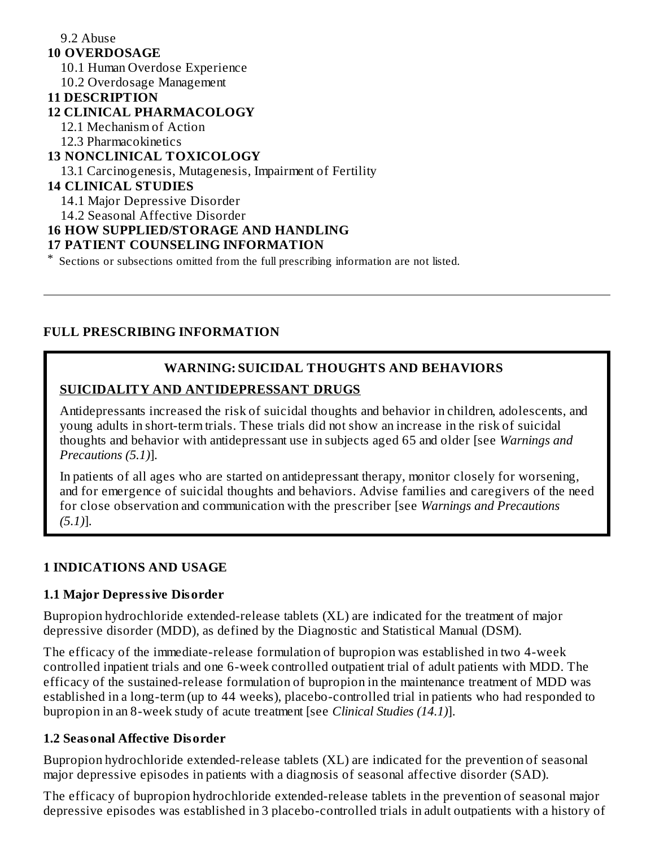#### 9.2 Abuse **10 OVERDOSAGE** 10.1 Human Overdose Experience 10.2 Overdosage Management **11 DESCRIPTION 12 CLINICAL PHARMACOLOGY** 12.1 Mechanism of Action 12.3 Pharmacokinetics **13 NONCLINICAL TOXICOLOGY** 13.1 Carcinogenesis, Mutagenesis, Impairment of Fertility **14 CLINICAL STUDIES** 14.1 Major Depressive Disorder 14.2 Seasonal Affective Disorder **16 HOW SUPPLIED/STORAGE AND HANDLING**

#### **17 PATIENT COUNSELING INFORMATION**

\* Sections or subsections omitted from the full prescribing information are not listed.

#### **FULL PRESCRIBING INFORMATION**

#### **WARNING: SUICIDAL THOUGHTS AND BEHAVIORS**

#### **SUICIDALITY AND ANTIDEPRESSANT DRUGS**

Antidepressants increased the risk of suicidal thoughts and behavior in children, adolescents, and young adults in short-term trials. These trials did not show an increase in the risk of suicidal thoughts and behavior with antidepressant use in subjects aged 65 and older [see *Warnings and Precautions (5.1)*].

In patients of all ages who are started on antidepressant therapy, monitor closely for worsening, and for emergence of suicidal thoughts and behaviors. Advise families and caregivers of the need for close observation and communication with the prescriber [see *Warnings and Precautions (5.1)*].

#### **1 INDICATIONS AND USAGE**

#### **1.1 Major Depressive Disorder**

Bupropion hydrochloride extended-release tablets (XL) are indicated for the treatment of major depressive disorder (MDD), as defined by the Diagnostic and Statistical Manual (DSM).

The efficacy of the immediate-release formulation of bupropion was established in two 4-week controlled inpatient trials and one 6-week controlled outpatient trial of adult patients with MDD. The efficacy of the sustained-release formulation of bupropion in the maintenance treatment of MDD was established in a long-term (up to 44 weeks), placebo-controlled trial in patients who had responded to bupropion in an 8-week study of acute treatment [see *Clinical Studies (14.1)*].

#### **1.2 Seasonal Affective Disorder**

Bupropion hydrochloride extended-release tablets (XL) are indicated for the prevention of seasonal major depressive episodes in patients with a diagnosis of seasonal affective disorder (SAD).

The efficacy of bupropion hydrochloride extended-release tablets in the prevention of seasonal major depressive episodes was established in 3 placebo-controlled trials in adult outpatients with a history of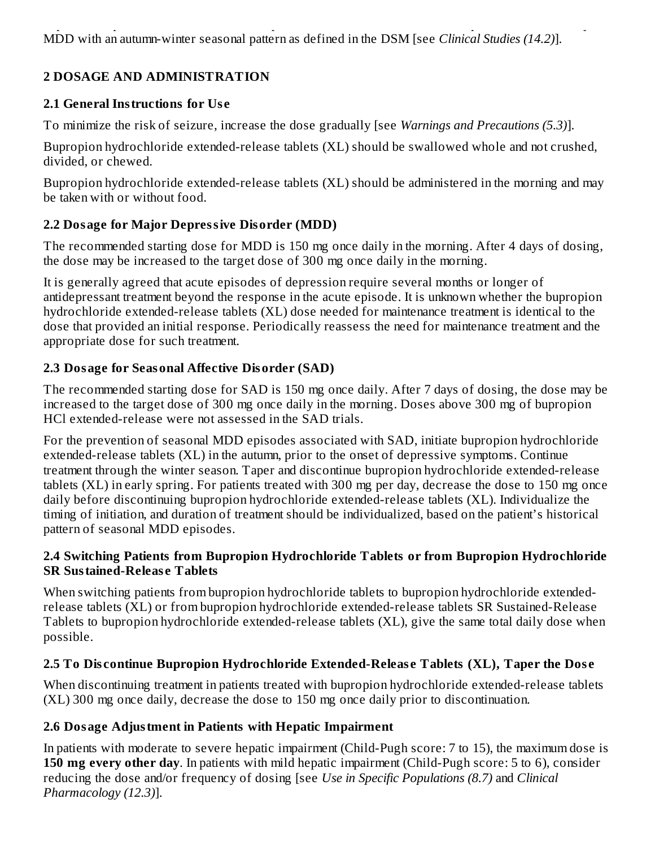depressive episodes was established in 3 placebo-controlled trials in adult outpatients with a history of MDD with an autumn-winter seasonal pattern as defined in the DSM [see *Clinical Studies (14.2)*].

# **2 DOSAGE AND ADMINISTRATION**

#### **2.1 General Instructions for Us e**

To minimize the risk of seizure, increase the dose gradually [see *Warnings and Precautions (5.3)*].

Bupropion hydrochloride extended-release tablets (XL) should be swallowed whole and not crushed, divided, or chewed.

Bupropion hydrochloride extended-release tablets (XL) should be administered in the morning and may be taken with or without food.

# **2.2 Dosage for Major Depressive Disorder (MDD)**

The recommended starting dose for MDD is 150 mg once daily in the morning. After 4 days of dosing, the dose may be increased to the target dose of 300 mg once daily in the morning.

It is generally agreed that acute episodes of depression require several months or longer of antidepressant treatment beyond the response in the acute episode. It is unknown whether the bupropion hydrochloride extended-release tablets (XL) dose needed for maintenance treatment is identical to the dose that provided an initial response. Periodically reassess the need for maintenance treatment and the appropriate dose for such treatment.

# **2.3 Dosage for Seasonal Affective Disorder (SAD)**

The recommended starting dose for SAD is 150 mg once daily. After 7 days of dosing, the dose may be increased to the target dose of 300 mg once daily in the morning. Doses above 300 mg of bupropion HCl extended-release were not assessed in the SAD trials.

For the prevention of seasonal MDD episodes associated with SAD, initiate bupropion hydrochloride extended-release tablets (XL) in the autumn, prior to the onset of depressive symptoms. Continue treatment through the winter season. Taper and discontinue bupropion hydrochloride extended-release tablets (XL) in early spring. For patients treated with 300 mg per day, decrease the dose to 150 mg once daily before discontinuing bupropion hydrochloride extended-release tablets (XL). Individualize the timing of initiation, and duration of treatment should be individualized, based on the patient's historical pattern of seasonal MDD episodes.

#### **2.4 Switching Patients from Bupropion Hydrochloride Tablets or from Bupropion Hydrochloride SR Sustained-Releas e Tablets**

When switching patients from bupropion hydrochloride tablets to bupropion hydrochloride extendedrelease tablets (XL) or from bupropion hydrochloride extended-release tablets SR Sustained-Release Tablets to bupropion hydrochloride extended-release tablets (XL), give the same total daily dose when possible.

# **2.5 To Dis continue Bupropion Hydrochloride Extended-Releas e Tablets (XL), Taper the Dos e**

When discontinuing treatment in patients treated with bupropion hydrochloride extended-release tablets (XL) 300 mg once daily, decrease the dose to 150 mg once daily prior to discontinuation.

### **2.6 Dosage Adjustment in Patients with Hepatic Impairment**

In patients with moderate to severe hepatic impairment (Child-Pugh score: 7 to 15), the maximum dose is **150 mg every other day**. In patients with mild hepatic impairment (Child-Pugh score: 5 to 6), consider reducing the dose and/or frequency of dosing [see *Use in Specific Populations (8.7)* and *Clinical Pharmacology (12.3)*].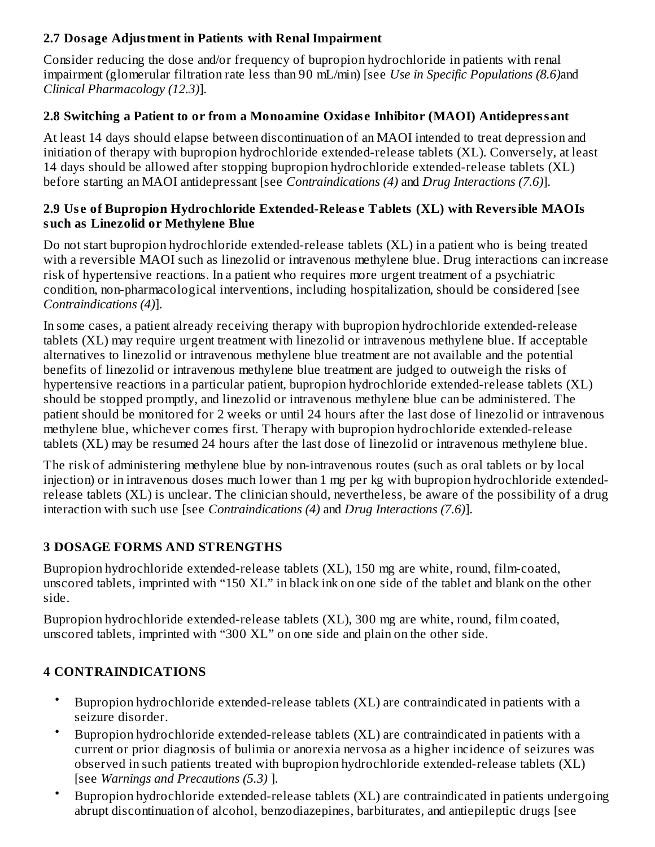### **2.7 Dosage Adjustment in Patients with Renal Impairment**

Consider reducing the dose and/or frequency of bupropion hydrochloride in patients with renal impairment (glomerular filtration rate less than 90 mL/min) [see *Use in Specific Populations (8.6)*and *Clinical Pharmacology (12.3)*].

#### **2.8 Switching a Patient to or from a Monoamine Oxidas e Inhibitor (MAOI) Antidepressant**

At least 14 days should elapse between discontinuation of an MAOI intended to treat depression and initiation of therapy with bupropion hydrochloride extended-release tablets (XL). Conversely, at least 14 days should be allowed after stopping bupropion hydrochloride extended-release tablets (XL) before starting an MAOI antidepressant [see *Contraindications (4)* and *Drug Interactions (7.6)*].

#### **2.9 Us e of Bupropion Hydrochloride Extended-Releas e Tablets (XL) with Reversible MAOIs such as Linezolid or Methylene Blue**

Do not start bupropion hydrochloride extended-release tablets (XL) in a patient who is being treated with a reversible MAOI such as linezolid or intravenous methylene blue. Drug interactions can increase risk of hypertensive reactions. In a patient who requires more urgent treatment of a psychiatric condition, non-pharmacological interventions, including hospitalization, should be considered [see *Contraindications (4)*].

In some cases, a patient already receiving therapy with bupropion hydrochloride extended-release tablets (XL) may require urgent treatment with linezolid or intravenous methylene blue. If acceptable alternatives to linezolid or intravenous methylene blue treatment are not available and the potential benefits of linezolid or intravenous methylene blue treatment are judged to outweigh the risks of hypertensive reactions in a particular patient, bupropion hydrochloride extended-release tablets (XL) should be stopped promptly, and linezolid or intravenous methylene blue can be administered. The patient should be monitored for 2 weeks or until 24 hours after the last dose of linezolid or intravenous methylene blue, whichever comes first. Therapy with bupropion hydrochloride extended-release tablets (XL) may be resumed 24 hours after the last dose of linezolid or intravenous methylene blue.

The risk of administering methylene blue by non-intravenous routes (such as oral tablets or by local injection) or in intravenous doses much lower than 1 mg per kg with bupropion hydrochloride extendedrelease tablets (XL) is unclear. The clinician should, nevertheless, be aware of the possibility of a drug interaction with such use [see *Contraindications (4)* and *Drug Interactions (7.6)*].

### **3 DOSAGE FORMS AND STRENGTHS**

Bupropion hydrochloride extended-release tablets (XL), 150 mg are white, round, film-coated, unscored tablets, imprinted with "150 XL" in black ink on one side of the tablet and blank on the other side.

Bupropion hydrochloride extended-release tablets (XL), 300 mg are white, round, film coated, unscored tablets, imprinted with "300 XL" on one side and plain on the other side.

# **4 CONTRAINDICATIONS**

- Bupropion hydrochloride extended-release tablets (XL) are contraindicated in patients with a seizure disorder.
- Bupropion hydrochloride extended-release tablets (XL) are contraindicated in patients with a current or prior diagnosis of bulimia or anorexia nervosa as a higher incidence of seizures was observed in such patients treated with bupropion hydrochloride extended-release tablets (XL) [see *Warnings and Precautions (5.3)* ].
- Bupropion hydrochloride extended-release tablets (XL) are contraindicated in patients undergoing abrupt discontinuation of alcohol, benzodiazepines, barbiturates, and antiepileptic drugs [see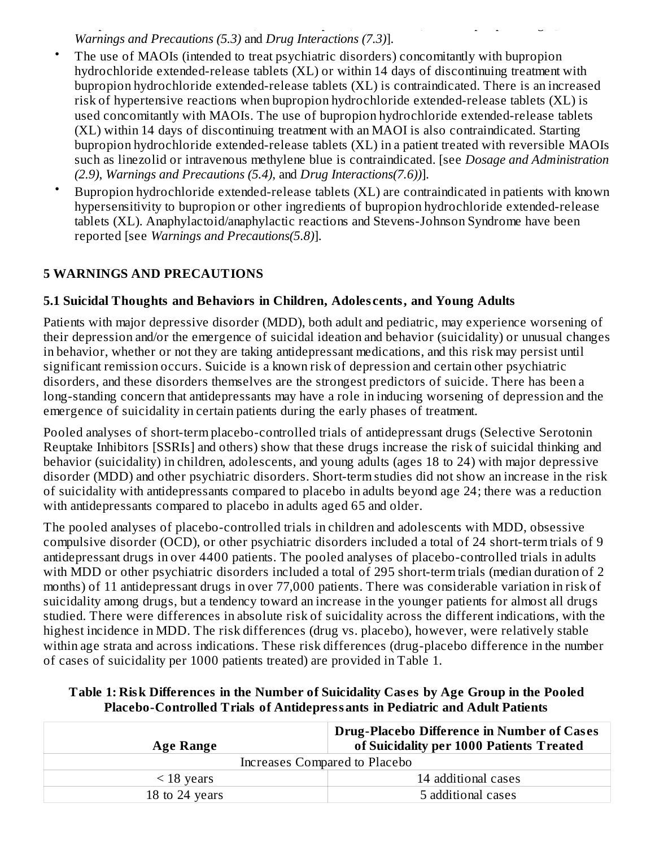#### abrupt discontinuation of alcohol, benzodiazepines, barbiturates, and antiepileptic drugs [see *Warnings and Precautions (5.3)* and *Drug Interactions (7.3)*].

- The use of MAOIs (intended to treat psychiatric disorders) concomitantly with bupropion hydrochloride extended-release tablets (XL) or within 14 days of discontinuing treatment with bupropion hydrochloride extended-release tablets (XL) is contraindicated. There is an increased risk of hypertensive reactions when bupropion hydrochloride extended-release tablets (XL) is used concomitantly with MAOIs. The use of bupropion hydrochloride extended-release tablets (XL) within 14 days of discontinuing treatment with an MAOI is also contraindicated. Starting bupropion hydrochloride extended-release tablets (XL) in a patient treated with reversible MAOIs such as linezolid or intravenous methylene blue is contraindicated. [see *Dosage and Administration (2.9)*, *Warnings and Precautions (5.4)*, and *Drug Interactions(7.6))*].
- Bupropion hydrochloride extended-release tablets (XL) are contraindicated in patients with known hypersensitivity to bupropion or other ingredients of bupropion hydrochloride extended-release tablets (XL). Anaphylactoid/anaphylactic reactions and Stevens-Johnson Syndrome have been reported [see *Warnings and Precautions(5.8)*].

### **5 WARNINGS AND PRECAUTIONS**

#### **5.1 Suicidal Thoughts and Behaviors in Children, Adoles cents, and Young Adults**

Patients with major depressive disorder (MDD), both adult and pediatric, may experience worsening of their depression and/or the emergence of suicidal ideation and behavior (suicidality) or unusual changes in behavior, whether or not they are taking antidepressant medications, and this risk may persist until significant remission occurs. Suicide is a known risk of depression and certain other psychiatric disorders, and these disorders themselves are the strongest predictors of suicide. There has been a long-standing concern that antidepressants may have a role in inducing worsening of depression and the emergence of suicidality in certain patients during the early phases of treatment.

Pooled analyses of short-term placebo-controlled trials of antidepressant drugs (Selective Serotonin Reuptake Inhibitors [SSRIs] and others) show that these drugs increase the risk of suicidal thinking and behavior (suicidality) in children, adolescents, and young adults (ages 18 to 24) with major depressive disorder (MDD) and other psychiatric disorders. Short-term studies did not show an increase in the risk of suicidality with antidepressants compared to placebo in adults beyond age 24; there was a reduction with antidepressants compared to placebo in adults aged 65 and older.

The pooled analyses of placebo-controlled trials in children and adolescents with MDD, obsessive compulsive disorder (OCD), or other psychiatric disorders included a total of 24 short-term trials of 9 antidepressant drugs in over 4400 patients. The pooled analyses of placebo-controlled trials in adults with MDD or other psychiatric disorders included a total of 295 short-term trials (median duration of 2 months) of 11 antidepressant drugs in over 77,000 patients. There was considerable variation in risk of suicidality among drugs, but a tendency toward an increase in the younger patients for almost all drugs studied. There were differences in absolute risk of suicidality across the different indications, with the highest incidence in MDD. The risk differences (drug vs. placebo), however, were relatively stable within age strata and across indications. These risk differences (drug-placebo difference in the number of cases of suicidality per 1000 patients treated) are provided in Table 1.

| Table 1: Risk Differences in the Number of Suicidality Cases by Age Group in the Pooled |  |  |
|-----------------------------------------------------------------------------------------|--|--|
| <b>Placebo-Controlled Trials of Antidepressants in Pediatric and Adult Patients</b>     |  |  |

| <b>Drug-Placebo Difference in Number of Cases</b><br>of Suicidality per 1000 Patients Treated<br>Age Range |                     |  |  |
|------------------------------------------------------------------------------------------------------------|---------------------|--|--|
| Increases Compared to Placebo                                                                              |                     |  |  |
| $\leq$ 18 years                                                                                            | 14 additional cases |  |  |
| 18 to 24 years                                                                                             | 5 additional cases  |  |  |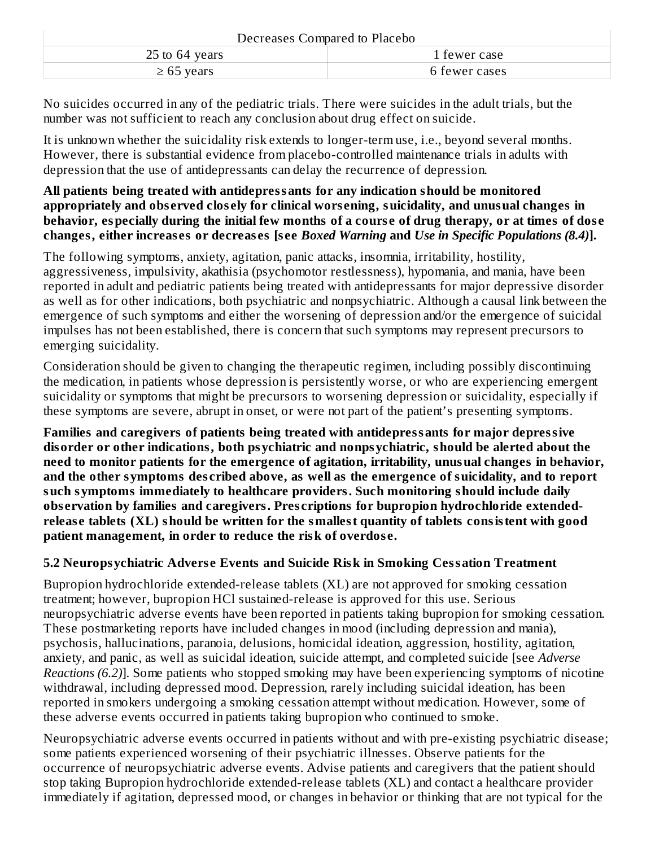| Decreases Compared to Placebo  |               |  |  |  |
|--------------------------------|---------------|--|--|--|
| 25 to 64 years<br>1 fewer case |               |  |  |  |
| $\geq 65$ years                | 6 fewer cases |  |  |  |

No suicides occurred in any of the pediatric trials. There were suicides in the adult trials, but the number was not sufficient to reach any conclusion about drug effect on suicide.

It is unknown whether the suicidality risk extends to longer-term use, i.e., beyond several months. However, there is substantial evidence from placebo-controlled maintenance trials in adults with depression that the use of antidepressants can delay the recurrence of depression.

#### **All patients being treated with antidepressants for any indication should be monitored appropriately and obs erved clos ely for clinical wors ening, suicidality, and unusual changes in** behavior, especially during the initial few months of a course of drug therapy, or at times of dose changes, either increases or decreases [see Boxed Warning and Use in Specific Populations (8.4)].

The following symptoms, anxiety, agitation, panic attacks, insomnia, irritability, hostility, aggressiveness, impulsivity, akathisia (psychomotor restlessness), hypomania, and mania, have been reported in adult and pediatric patients being treated with antidepressants for major depressive disorder as well as for other indications, both psychiatric and nonpsychiatric. Although a causal link between the emergence of such symptoms and either the worsening of depression and/or the emergence of suicidal impulses has not been established, there is concern that such symptoms may represent precursors to emerging suicidality.

Consideration should be given to changing the therapeutic regimen, including possibly discontinuing the medication, in patients whose depression is persistently worse, or who are experiencing emergent suicidality or symptoms that might be precursors to worsening depression or suicidality, especially if these symptoms are severe, abrupt in onset, or were not part of the patient's presenting symptoms.

**Families and caregivers of patients being treated with antidepressants for major depressive disorder or other indications, both psychiatric and nonpsychiatric, should be alerted about the need to monitor patients for the emergence of agitation, irritability, unusual changes in behavior, and the other symptoms des cribed above, as well as the emergence of suicidality, and to report such symptoms immediately to healthcare providers. Such monitoring should include daily obs ervation by families and caregivers. Pres criptions for bupropion hydrochloride extendedreleas e tablets (XL) should be written for the smallest quantity of tablets consistent with good patient management, in order to reduce the risk of overdos e.**

### **5.2 Neuropsychiatric Advers e Events and Suicide Risk in Smoking Cessation Treatment**

Bupropion hydrochloride extended-release tablets (XL) are not approved for smoking cessation treatment; however, bupropion HCl sustained-release is approved for this use. Serious neuropsychiatric adverse events have been reported in patients taking bupropion for smoking cessation. These postmarketing reports have included changes in mood (including depression and mania), psychosis, hallucinations, paranoia, delusions, homicidal ideation, aggression, hostility, agitation, anxiety, and panic, as well as suicidal ideation, suicide attempt, and completed suicide [see *Adverse Reactions (6.2)*]. Some patients who stopped smoking may have been experiencing symptoms of nicotine withdrawal, including depressed mood. Depression, rarely including suicidal ideation, has been reported in smokers undergoing a smoking cessation attempt without medication. However, some of these adverse events occurred in patients taking bupropion who continued to smoke.

Neuropsychiatric adverse events occurred in patients without and with pre-existing psychiatric disease; some patients experienced worsening of their psychiatric illnesses. Observe patients for the occurrence of neuropsychiatric adverse events. Advise patients and caregivers that the patient should stop taking Bupropion hydrochloride extended-release tablets (XL) and contact a healthcare provider immediately if agitation, depressed mood, or changes in behavior or thinking that are not typical for the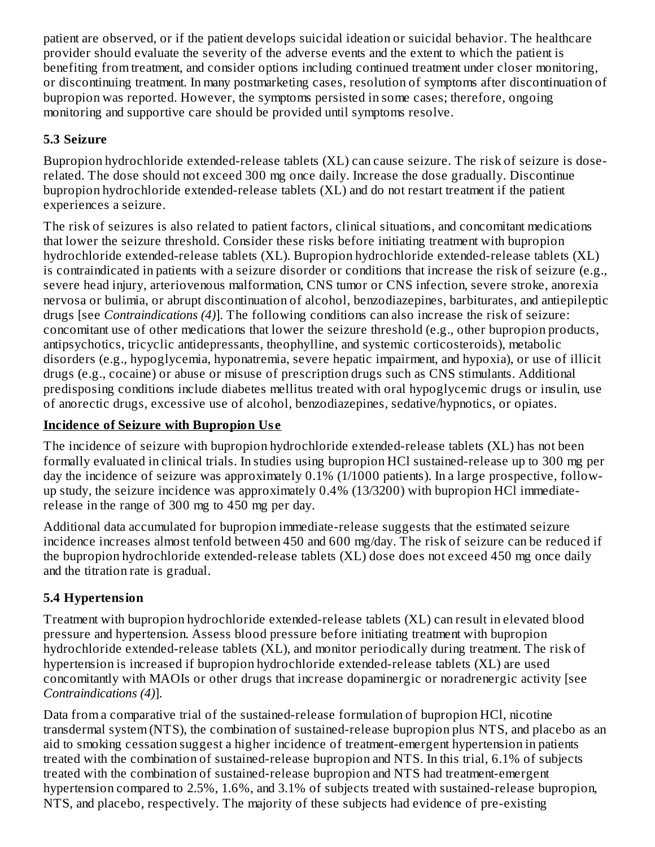patient are observed, or if the patient develops suicidal ideation or suicidal behavior. The healthcare provider should evaluate the severity of the adverse events and the extent to which the patient is benefiting from treatment, and consider options including continued treatment under closer monitoring, or discontinuing treatment. In many postmarketing cases, resolution of symptoms after discontinuation of bupropion was reported. However, the symptoms persisted in some cases; therefore, ongoing monitoring and supportive care should be provided until symptoms resolve.

# **5.3 Seizure**

Bupropion hydrochloride extended-release tablets (XL) can cause seizure. The risk of seizure is doserelated. The dose should not exceed 300 mg once daily. Increase the dose gradually. Discontinue bupropion hydrochloride extended-release tablets (XL) and do not restart treatment if the patient experiences a seizure.

The risk of seizures is also related to patient factors, clinical situations, and concomitant medications that lower the seizure threshold. Consider these risks before initiating treatment with bupropion hydrochloride extended-release tablets (XL). Bupropion hydrochloride extended-release tablets (XL) is contraindicated in patients with a seizure disorder or conditions that increase the risk of seizure (e.g., severe head injury, arteriovenous malformation, CNS tumor or CNS infection, severe stroke, anorexia nervosa or bulimia, or abrupt discontinuation of alcohol, benzodiazepines, barbiturates, and antiepileptic drugs [see *Contraindications (4)*]. The following conditions can also increase the risk of seizure: concomitant use of other medications that lower the seizure threshold (e.g., other bupropion products, antipsychotics, tricyclic antidepressants, theophylline, and systemic corticosteroids), metabolic disorders (e.g., hypoglycemia, hyponatremia, severe hepatic impairment, and hypoxia), or use of illicit drugs (e.g., cocaine) or abuse or misuse of prescription drugs such as CNS stimulants. Additional predisposing conditions include diabetes mellitus treated with oral hypoglycemic drugs or insulin, use of anorectic drugs, excessive use of alcohol, benzodiazepines, sedative/hypnotics, or opiates.

### **Incidence of Seizure with Bupropion Us e**

The incidence of seizure with bupropion hydrochloride extended-release tablets (XL) has not been formally evaluated in clinical trials. In studies using bupropion HCl sustained-release up to 300 mg per day the incidence of seizure was approximately 0.1% (1/1000 patients). In a large prospective, followup study, the seizure incidence was approximately 0.4% (13/3200) with bupropion HCl immediaterelease in the range of 300 mg to 450 mg per day.

Additional data accumulated for bupropion immediate-release suggests that the estimated seizure incidence increases almost tenfold between 450 and 600 mg/day. The risk of seizure can be reduced if the bupropion hydrochloride extended-release tablets (XL) dose does not exceed 450 mg once daily and the titration rate is gradual.

# **5.4 Hypertension**

Treatment with bupropion hydrochloride extended-release tablets (XL) can result in elevated blood pressure and hypertension. Assess blood pressure before initiating treatment with bupropion hydrochloride extended-release tablets (XL), and monitor periodically during treatment. The risk of hypertension is increased if bupropion hydrochloride extended-release tablets (XL) are used concomitantly with MAOIs or other drugs that increase dopaminergic or noradrenergic activity [see *Contraindications (4)*].

Data from a comparative trial of the sustained-release formulation of bupropion HCl, nicotine transdermal system (NTS), the combination of sustained-release bupropion plus NTS, and placebo as an aid to smoking cessation suggest a higher incidence of treatment-emergent hypertension in patients treated with the combination of sustained-release bupropion and NTS. In this trial, 6.1% of subjects treated with the combination of sustained-release bupropion and NTS had treatment-emergent hypertension compared to 2.5%, 1.6%, and 3.1% of subjects treated with sustained-release bupropion, NTS, and placebo, respectively. The majority of these subjects had evidence of pre-existing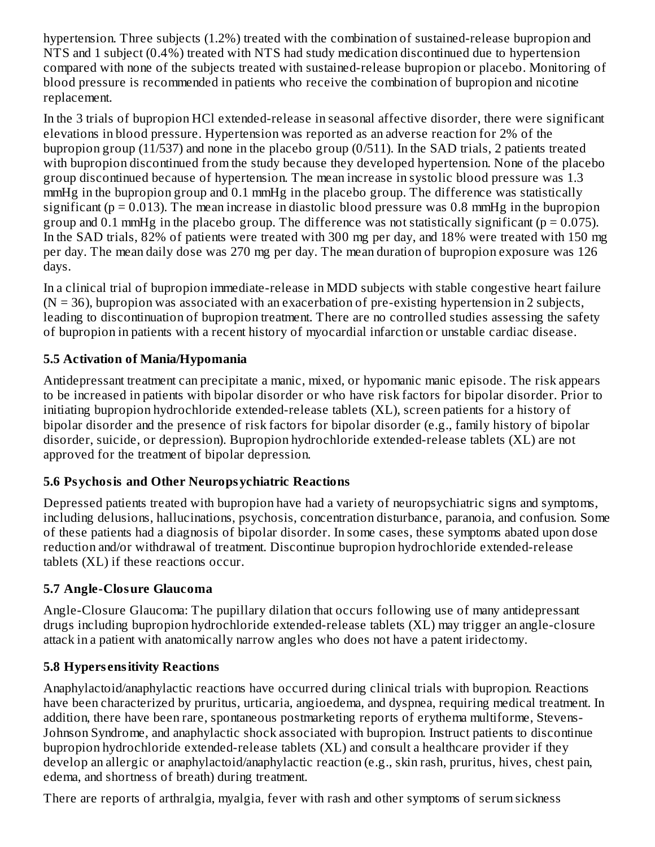hypertension. Three subjects (1.2%) treated with the combination of sustained-release bupropion and NTS and 1 subject (0.4%) treated with NTS had study medication discontinued due to hypertension compared with none of the subjects treated with sustained-release bupropion or placebo. Monitoring of blood pressure is recommended in patients who receive the combination of bupropion and nicotine replacement.

In the 3 trials of bupropion HCl extended-release in seasonal affective disorder, there were significant elevations in blood pressure. Hypertension was reported as an adverse reaction for 2% of the bupropion group (11/537) and none in the placebo group (0/511). In the SAD trials, 2 patients treated with bupropion discontinued from the study because they developed hypertension. None of the placebo group discontinued because of hypertension. The mean increase in systolic blood pressure was 1.3 mmHg in the bupropion group and 0.1 mmHg in the placebo group. The difference was statistically significant ( $p = 0.013$ ). The mean increase in diastolic blood pressure was 0.8 mmHg in the bupropion group and 0.1 mmHg in the placebo group. The difference was not statistically significant ( $p = 0.075$ ). In the SAD trials, 82% of patients were treated with 300 mg per day, and 18% were treated with 150 mg per day. The mean daily dose was 270 mg per day. The mean duration of bupropion exposure was 126 days.

In a clinical trial of bupropion immediate-release in MDD subjects with stable congestive heart failure  $(N = 36)$ , bupropion was associated with an exacerbation of pre-existing hypertension in 2 subjects, leading to discontinuation of bupropion treatment. There are no controlled studies assessing the safety of bupropion in patients with a recent history of myocardial infarction or unstable cardiac disease.

### **5.5 Activation of Mania/Hypomania**

Antidepressant treatment can precipitate a manic, mixed, or hypomanic manic episode. The risk appears to be increased in patients with bipolar disorder or who have risk factors for bipolar disorder. Prior to initiating bupropion hydrochloride extended-release tablets (XL), screen patients for a history of bipolar disorder and the presence of risk factors for bipolar disorder (e.g., family history of bipolar disorder, suicide, or depression). Bupropion hydrochloride extended-release tablets (XL) are not approved for the treatment of bipolar depression.

# **5.6 Psychosis and Other Neuropsychiatric Reactions**

Depressed patients treated with bupropion have had a variety of neuropsychiatric signs and symptoms, including delusions, hallucinations, psychosis, concentration disturbance, paranoia, and confusion. Some of these patients had a diagnosis of bipolar disorder. In some cases, these symptoms abated upon dose reduction and/or withdrawal of treatment. Discontinue bupropion hydrochloride extended-release tablets (XL) if these reactions occur.

### **5.7 Angle-Closure Glaucoma**

Angle-Closure Glaucoma: The pupillary dilation that occurs following use of many antidepressant drugs including bupropion hydrochloride extended-release tablets (XL) may trigger an angle-closure attack in a patient with anatomically narrow angles who does not have a patent iridectomy.

# **5.8 Hypers ensitivity Reactions**

Anaphylactoid/anaphylactic reactions have occurred during clinical trials with bupropion. Reactions have been characterized by pruritus, urticaria, angioedema, and dyspnea, requiring medical treatment. In addition, there have been rare, spontaneous postmarketing reports of erythema multiforme, Stevens-Johnson Syndrome, and anaphylactic shock associated with bupropion. Instruct patients to discontinue bupropion hydrochloride extended-release tablets (XL) and consult a healthcare provider if they develop an allergic or anaphylactoid/anaphylactic reaction (e.g., skin rash, pruritus, hives, chest pain, edema, and shortness of breath) during treatment.

There are reports of arthralgia, myalgia, fever with rash and other symptoms of serum sickness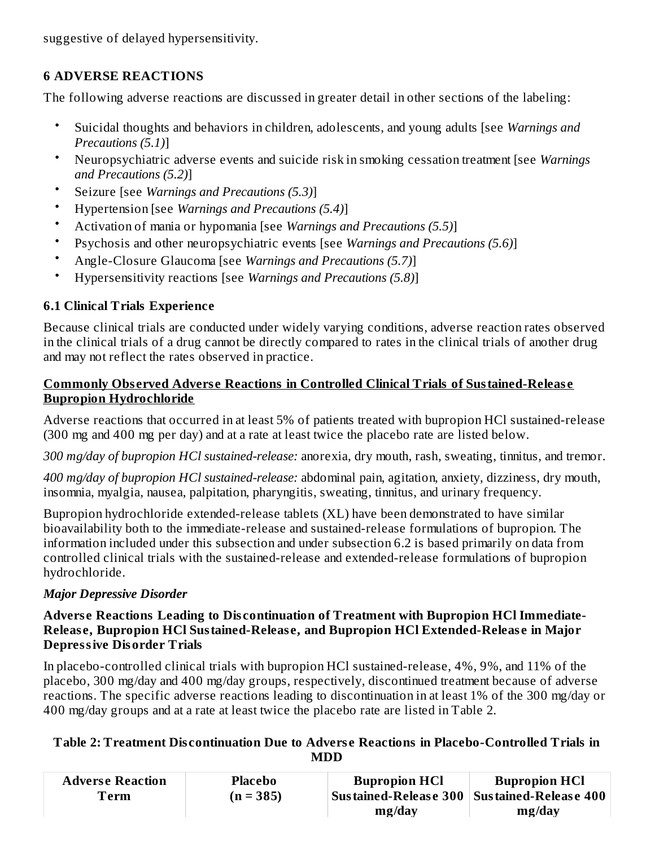suggestive of delayed hypersensitivity.

# **6 ADVERSE REACTIONS**

The following adverse reactions are discussed in greater detail in other sections of the labeling:

- Suicidal thoughts and behaviors in children, adolescents, and young adults [see *Warnings and Precautions (5.1)*]
- Neuropsychiatric adverse events and suicide risk in smoking cessation treatment [see *Warnings and Precautions (5.2)*]
- Seizure [see *Warnings and Precautions (5.3)*]
- Hypertension [see *Warnings and Precautions (5.4)*]
- Activation of mania or hypomania [see *Warnings and Precautions (5.5)*]
- Psychosis and other neuropsychiatric events [see *Warnings and Precautions (5.6)*]
- Angle-Closure Glaucoma [see *Warnings and Precautions (5.7)*]
- Hypersensitivity reactions [see *Warnings and Precautions (5.8)*]

# **6.1 Clinical Trials Experience**

Because clinical trials are conducted under widely varying conditions, adverse reaction rates observed in the clinical trials of a drug cannot be directly compared to rates in the clinical trials of another drug and may not reflect the rates observed in practice.

#### **Commonly Obs erved Advers e Reactions in Controlled Clinical Trials of Sustained-Releas e Bupropion Hydrochloride**

Adverse reactions that occurred in at least 5% of patients treated with bupropion HCl sustained-release (300 mg and 400 mg per day) and at a rate at least twice the placebo rate are listed below.

*300 mg/day of bupropion HCl sustained-release:* anorexia, dry mouth, rash, sweating, tinnitus, and tremor.

*400 mg/day of bupropion HCl sustained-release:* abdominal pain, agitation, anxiety, dizziness, dry mouth, insomnia, myalgia, nausea, palpitation, pharyngitis, sweating, tinnitus, and urinary frequency.

Bupropion hydrochloride extended-release tablets (XL) have been demonstrated to have similar bioavailability both to the immediate-release and sustained-release formulations of bupropion. The information included under this subsection and under subsection 6.2 is based primarily on data from controlled clinical trials with the sustained-release and extended-release formulations of bupropion hydrochloride.

### *Major Depressive Disorder*

#### **Advers e Reactions Leading to Dis continuation of Treatment with Bupropion HCl Immediate-Releas e, Bupropion HCl Sustained-Releas e, and Bupropion HCl Extended-Releas e in Major Depressive Disorder Trials**

In placebo-controlled clinical trials with bupropion HCl sustained-release, 4%, 9%, and 11% of the placebo, 300 mg/day and 400 mg/day groups, respectively, discontinued treatment because of adverse reactions. The specific adverse reactions leading to discontinuation in at least 1% of the 300 mg/day or 400 mg/day groups and at a rate at least twice the placebo rate are listed in Table 2.

#### **Table 2: Treatment Dis continuation Due to Advers e Reactions in Placebo-Controlled Trials in MDD**

| <b>Adverse Reaction</b> | <b>Placebo</b> | <b>Bupropion HCl</b>                          | <b>Bupropion HCl</b> |
|-------------------------|----------------|-----------------------------------------------|----------------------|
| Term                    | $(n = 385)$    | Sustained-Release 300   Sustained-Release 400 |                      |
|                         |                | mg/day                                        | mg/day               |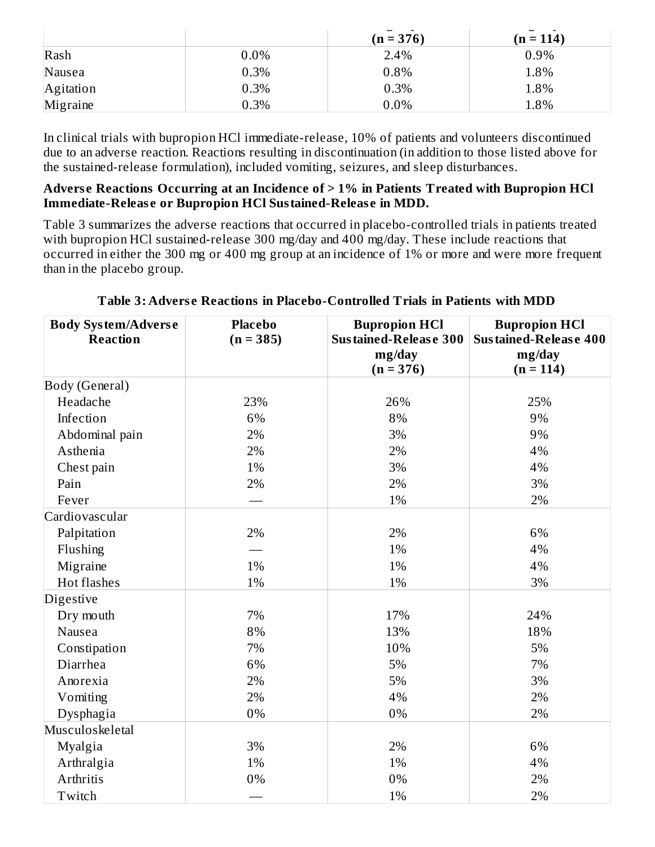|           |      | $\overline{\phantom{0}}$ | $\tilde{}$  |
|-----------|------|--------------------------|-------------|
|           |      | $(n = 376)$              | $(n = 114)$ |
| Rash      | 0.0% | 2.4%                     | 0.9%        |
| Nausea    | 0.3% | 0.8%                     | 1.8%        |
| Agitation | 0.3% | 0.3%                     | 1.8%        |
| Migraine  | 0.3% | 0.0%                     | 1.8%        |

In clinical trials with bupropion HCl immediate-release, 10% of patients and volunteers discontinued due to an adverse reaction. Reactions resulting in discontinuation (in addition to those listed above for the sustained-release formulation), included vomiting, seizures, and sleep disturbances.

#### **Advers e Reactions Occurring at an Incidence of > 1% in Patients Treated with Bupropion HCl Immediate-Releas e or Bupropion HCl Sustained-Releas e in MDD.**

Table 3 summarizes the adverse reactions that occurred in placebo-controlled trials in patients treated with bupropion HCl sustained-release 300 mg/day and 400 mg/day. These include reactions that occurred in either the 300 mg or 400 mg group at an incidence of 1% or more and were more frequent than in the placebo group.

| <b>Body System/Adverse</b><br><b>Reaction</b> | <b>Placebo</b><br>$(n = 385)$ | <b>Bupropion HCl</b><br><b>Sustained-Release 300</b> | <b>Bupropion HCl</b><br><b>Sustained-Release 400</b><br>mg/day |
|-----------------------------------------------|-------------------------------|------------------------------------------------------|----------------------------------------------------------------|
|                                               |                               | mg/day<br>$(n = 376)$                                | $(n = 114)$                                                    |
| Body (General)                                |                               |                                                      |                                                                |
| Headache                                      | 23%                           | 26%                                                  | 25%                                                            |
| Infection                                     | 6%                            | 8%                                                   | 9%                                                             |
| Abdominal pain                                | 2%                            | 3%                                                   | 9%                                                             |
| Asthenia                                      | 2%                            | 2%                                                   | 4%                                                             |
| Chest pain                                    | 1%                            | 3%                                                   | 4%                                                             |
| Pain                                          | 2%                            | 2%                                                   | 3%                                                             |
| Fever                                         |                               | 1%                                                   | 2%                                                             |
| Cardiovascular                                |                               |                                                      |                                                                |
| Palpitation                                   | 2%                            | 2%                                                   | 6%                                                             |
| Flushing                                      |                               | 1%                                                   | 4%                                                             |
| Migraine                                      | 1%                            | 1%                                                   | 4%                                                             |
| <b>Hot flashes</b>                            | 1%                            | 1%                                                   | 3%                                                             |
| Digestive                                     |                               |                                                      |                                                                |
| Dry mouth                                     | 7%                            | 17%                                                  | 24%                                                            |
| Nausea                                        | 8%                            | 13%                                                  | 18%                                                            |
| Constipation                                  | 7%                            | 10%                                                  | 5%                                                             |
| Diarrhea                                      | 6%                            | 5%                                                   | 7%                                                             |
| Anorexia                                      | 2%                            | 5%                                                   | 3%                                                             |
| Vomiting                                      | 2%                            | 4%                                                   | 2%                                                             |
| Dysphagia                                     | 0%                            | 0%                                                   | 2%                                                             |
| Musculoskeletal                               |                               |                                                      |                                                                |
| Myalgia                                       | 3%                            | 2%                                                   | 6%                                                             |
| Arthralgia                                    | 1%                            | 1%                                                   | 4%                                                             |
| Arthritis                                     | 0%                            | 0%                                                   | 2%                                                             |
| Twitch                                        |                               | 1%                                                   | 2%                                                             |

**Table 3: Advers e Reactions in Placebo-Controlled Trials in Patients with MDD**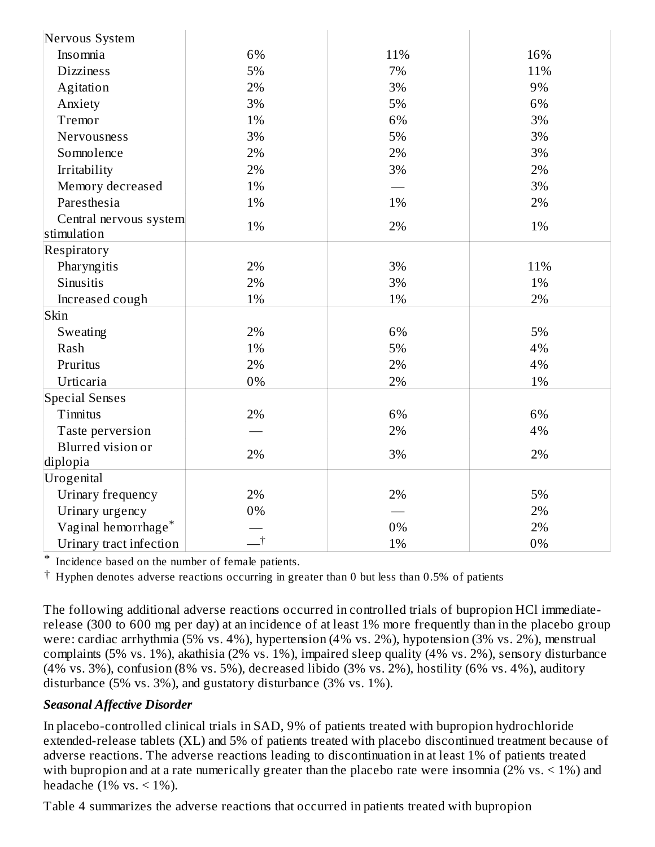| Nervous System                        |       |     |       |
|---------------------------------------|-------|-----|-------|
| Insomnia                              | 6%    | 11% | 16%   |
| <b>Dizziness</b>                      | 5%    | 7%  | 11%   |
| Agitation                             | 2%    | 3%  | 9%    |
| Anxiety                               | 3%    | 5%  | 6%    |
| Tremor                                | 1%    | 6%  | 3%    |
| Nervousness                           | 3%    | 5%  | 3%    |
| Somnolence                            | 2%    | 2%  | 3%    |
| Irritability                          | 2%    | 3%  | 2%    |
| Memory decreased                      | 1%    |     | 3%    |
| Paresthesia                           | 1%    | 1%  | 2%    |
| Central nervous system<br>stimulation | 1%    | 2%  | 1%    |
| Respiratory                           |       |     |       |
| Pharyngitis                           | 2%    | 3%  | 11%   |
| Sinusitis                             | 2%    | 3%  | 1%    |
| Increased cough                       | 1%    | 1%  | 2%    |
| Skin                                  |       |     |       |
| Sweating                              | 2%    | 6%  | 5%    |
| Rash                                  | 1%    | 5%  | 4%    |
| Pruritus                              | 2%    | 2%  | 4%    |
| Urticaria                             | $0\%$ | 2%  | 1%    |
| Special Senses                        |       |     |       |
| Tinnitus                              | 2%    | 6%  | 6%    |
| Taste perversion                      |       | 2%  | 4%    |
| Blurred vision or                     | 2%    | 3%  | 2%    |
| diplopia                              |       |     |       |
| Urogenital                            |       |     |       |
| Urinary frequency                     | 2%    | 2%  | 5%    |
| Urinary urgency                       | $0\%$ |     | 2%    |
| Vaginal hemorrhage*                   |       | 0%  | 2%    |
| Urinary tract infection               |       | 1%  | $0\%$ |

\* Incidence based on the number of female patients.

† Hyphen denotes adverse reactions occurring in greater than 0 but less than 0.5% of patients

The following additional adverse reactions occurred in controlled trials of bupropion HCl immediaterelease (300 to 600 mg per day) at an incidence of at least 1% more frequently than in the placebo group were: cardiac arrhythmia (5% vs. 4%), hypertension (4% vs. 2%), hypotension (3% vs. 2%), menstrual complaints (5% vs. 1%), akathisia (2% vs. 1%), impaired sleep quality (4% vs. 2%), sensory disturbance (4% vs. 3%), confusion (8% vs. 5%), decreased libido (3% vs. 2%), hostility (6% vs. 4%), auditory disturbance (5% vs. 3%), and gustatory disturbance (3% vs. 1%).

### *Seasonal Affective Disorder*

In placebo-controlled clinical trials in SAD, 9% of patients treated with bupropion hydrochloride extended-release tablets (XL) and 5% of patients treated with placebo discontinued treatment because of adverse reactions. The adverse reactions leading to discontinuation in at least 1% of patients treated with bupropion and at a rate numerically greater than the placebo rate were insomnia ( $2\%$  vs.  $\leq 1\%$ ) and headache  $(1\% \text{ vs.} < 1\%)$ .

Table 4 summarizes the adverse reactions that occurred in patients treated with bupropion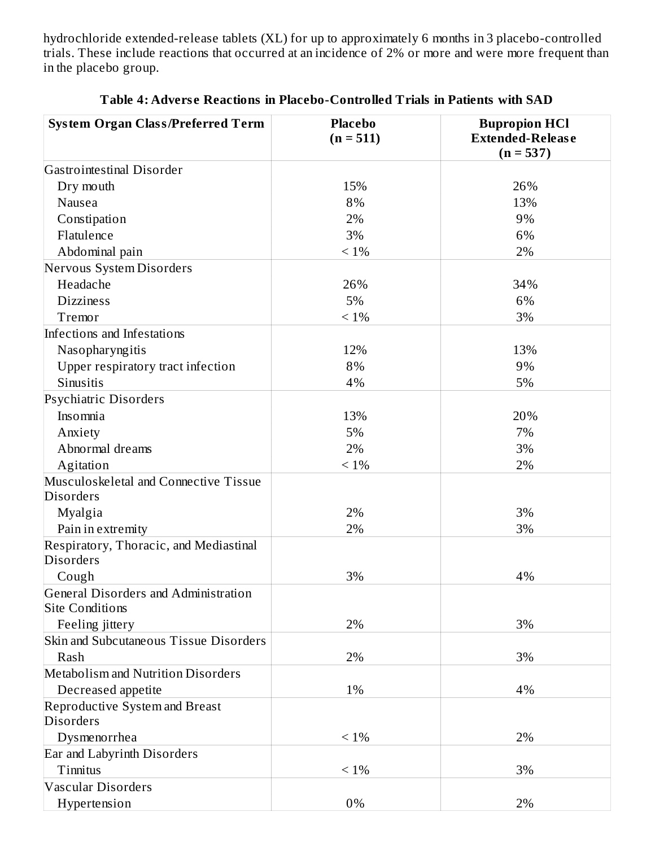hydrochloride extended-release tablets (XL) for up to approximately 6 months in 3 placebo-controlled trials. These include reactions that occurred at an incidence of 2% or more and were more frequent than in the placebo group.

| <b>System Organ Class/Preferred Term</b> | <b>Placebo</b><br>$(n = 511)$ | <b>Bupropion HCl</b><br><b>Extended-Release</b><br>$(n = 537)$ |
|------------------------------------------|-------------------------------|----------------------------------------------------------------|
| Gastrointestinal Disorder                |                               |                                                                |
| Dry mouth                                | 15%                           | 26%                                                            |
| Nausea                                   | 8%                            | 13%                                                            |
| Constipation                             | 2%                            | 9%                                                             |
| Flatulence                               | 3%                            | 6%                                                             |
| Abdominal pain                           | $< 1\%$                       | 2%                                                             |
| Nervous System Disorders                 |                               |                                                                |
| Headache                                 | 26%                           | 34%                                                            |
| <b>Dizziness</b>                         | 5%                            | 6%                                                             |
| Tremor                                   | $< 1\%$                       | 3%                                                             |
| Infections and Infestations              |                               |                                                                |
| Nasopharyngitis                          | 12%                           | 13%                                                            |
| Upper respiratory tract infection        | 8%                            | 9%                                                             |
| Sinusitis                                | 4%                            | 5%                                                             |
| Psychiatric Disorders                    |                               |                                                                |
| Insomnia                                 | 13%                           | 20%                                                            |
| Anxiety                                  | 5%                            | 7%                                                             |
| Abnormal dreams                          | 2%                            | 3%                                                             |
| Agitation                                | $< 1\%$                       | 2%                                                             |
| Musculoskeletal and Connective Tissue    |                               |                                                                |
| <b>Disorders</b>                         |                               |                                                                |
| Myalgia                                  | 2%                            | 3%                                                             |
| Pain in extremity                        | 2%                            | 3%                                                             |
| Respiratory, Thoracic, and Mediastinal   |                               |                                                                |
| Disorders                                |                               |                                                                |
| Cough                                    | 3%                            | 4%                                                             |
| General Disorders and Administration     |                               |                                                                |
| <b>Site Conditions</b>                   |                               |                                                                |
| Feeling jittery                          | 2%                            | 3%                                                             |
| Skin and Subcutaneous Tissue Disorders   |                               |                                                                |
| Rash                                     | 2%                            | 3%                                                             |
| Metabolism and Nutrition Disorders       |                               |                                                                |
| Decreased appetite                       | 1%                            | 4%                                                             |
| Reproductive System and Breast           |                               |                                                                |
| Disorders                                |                               |                                                                |
| Dysmenorrhea                             | $< 1\%$                       | 2%                                                             |
| Ear and Labyrinth Disorders              |                               |                                                                |
| Tinnitus                                 | $< 1\%$                       | 3%                                                             |
| <b>Vascular Disorders</b>                |                               |                                                                |
| Hypertension                             | 0%                            | 2%                                                             |

| Table 4: Adverse Reactions in Placebo-Controlled Trials in Patients with SAD |  |  |
|------------------------------------------------------------------------------|--|--|
|------------------------------------------------------------------------------|--|--|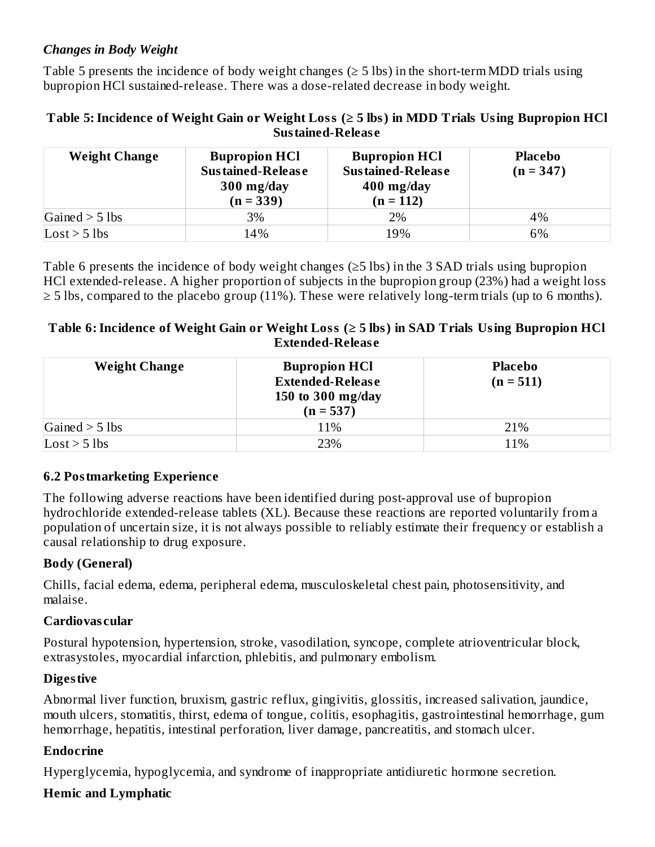### *Changes in Body Weight*

Table 5 presents the incidence of body weight changes ( $\geq$  5 lbs) in the short-term MDD trials using bupropion HCl sustained-release. There was a dose-related decrease in body weight.

#### **Table 5:Incidence of Weight Gain or Weight Loss (≥ 5 lbs) in MDD Trials Using Bupropion HCl Sustained-Releas e**

| <b>Weight Change</b> | <b>Bupropion HCl</b><br>Sustained-Release<br>$300$ mg/day<br>$(n = 339)$ | <b>Bupropion HCl</b><br>Sustained-Release<br>$400$ mg/day<br>$(n = 112)$ | <b>Placebo</b><br>$(n = 347)$ |
|----------------------|--------------------------------------------------------------------------|--------------------------------------------------------------------------|-------------------------------|
| Gained $>$ 5 lbs     | 3%                                                                       | 2%                                                                       | 4%                            |
| Lost $>$ 5 lbs       | 14%                                                                      | 19%                                                                      | 6%                            |

Table 6 presents the incidence of body weight changes (≥5 lbs) in the 3 SAD trials using bupropion HCl extended-release. A higher proportion of subjects in the bupropion group (23%) had a weight loss  $\geq$  5 lbs, compared to the placebo group (11%). These were relatively long-term trials (up to 6 months).

#### **Table 6:Incidence of Weight Gain or Weight Loss (≥ 5 lbs) in SAD Trials Using Bupropion HCl Extended-Releas e**

| <b>Weight Change</b> | <b>Bupropion HCl</b><br><b>Extended-Release</b><br>150 to 300 mg/day<br>$(n = 537)$ | Placebo<br>$(n = 511)$ |  |
|----------------------|-------------------------------------------------------------------------------------|------------------------|--|
| Gained $>$ 5 lbs     | 11%                                                                                 | 21%                    |  |
| $Loss > 5$ lbs       | 23%                                                                                 | 11%                    |  |

#### **6.2 Postmarketing Experience**

The following adverse reactions have been identified during post-approval use of bupropion hydrochloride extended-release tablets (XL). Because these reactions are reported voluntarily from a population of uncertain size, it is not always possible to reliably estimate their frequency or establish a causal relationship to drug exposure.

### **Body (General)**

Chills, facial edema, edema, peripheral edema, musculoskeletal chest pain, photosensitivity, and malaise.

### **Cardiovas cular**

Postural hypotension, hypertension, stroke, vasodilation, syncope, complete atrioventricular block, extrasystoles, myocardial infarction, phlebitis, and pulmonary embolism.

### **Digestive**

Abnormal liver function, bruxism, gastric reflux, gingivitis, glossitis, increased salivation, jaundice, mouth ulcers, stomatitis, thirst, edema of tongue, colitis, esophagitis, gastrointestinal hemorrhage, gum hemorrhage, hepatitis, intestinal perforation, liver damage, pancreatitis, and stomach ulcer.

#### **Endocrine**

Hyperglycemia, hypoglycemia, and syndrome of inappropriate antidiuretic hormone secretion.

### **Hemic and Lymphatic**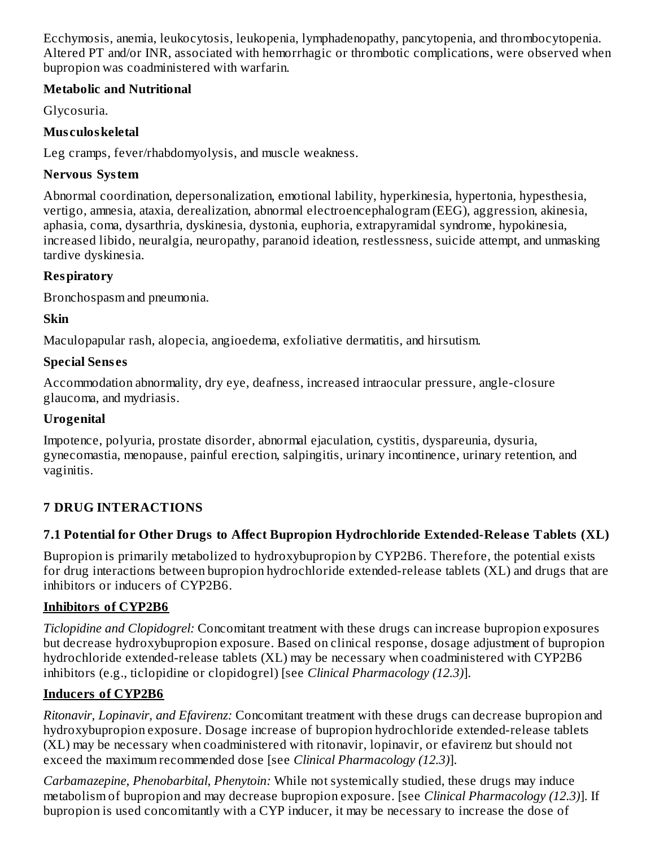Ecchymosis, anemia, leukocytosis, leukopenia, lymphadenopathy, pancytopenia, and thrombocytopenia. Altered PT and/or INR, associated with hemorrhagic or thrombotic complications, were observed when bupropion was coadministered with warfarin.

#### **Metabolic and Nutritional**

Glycosuria.

#### **Mus culoskeletal**

Leg cramps, fever/rhabdomyolysis, and muscle weakness.

#### **Nervous System**

Abnormal coordination, depersonalization, emotional lability, hyperkinesia, hypertonia, hypesthesia, vertigo, amnesia, ataxia, derealization, abnormal electroencephalogram (EEG), aggression, akinesia, aphasia, coma, dysarthria, dyskinesia, dystonia, euphoria, extrapyramidal syndrome, hypokinesia, increased libido, neuralgia, neuropathy, paranoid ideation, restlessness, suicide attempt, and unmasking tardive dyskinesia.

#### **Respiratory**

Bronchospasm and pneumonia.

#### **Skin**

Maculopapular rash, alopecia, angioedema, exfoliative dermatitis, and hirsutism.

#### **Special Sens es**

Accommodation abnormality, dry eye, deafness, increased intraocular pressure, angle-closure glaucoma, and mydriasis.

#### **Urogenital**

Impotence, polyuria, prostate disorder, abnormal ejaculation, cystitis, dyspareunia, dysuria, gynecomastia, menopause, painful erection, salpingitis, urinary incontinence, urinary retention, and vaginitis.

### **7 DRUG INTERACTIONS**

### **7.1 Potential for Other Drugs to Affect Bupropion Hydrochloride Extended-Releas e Tablets (XL)**

Bupropion is primarily metabolized to hydroxybupropion by CYP2B6. Therefore, the potential exists for drug interactions between bupropion hydrochloride extended-release tablets (XL) and drugs that are inhibitors or inducers of CYP2B6.

#### **Inhibitors of CYP2B6**

*Ticlopidine and Clopidogrel:* Concomitant treatment with these drugs can increase bupropion exposures but decrease hydroxybupropion exposure. Based on clinical response, dosage adjustment of bupropion hydrochloride extended-release tablets (XL) may be necessary when coadministered with CYP2B6 inhibitors (e.g., ticlopidine or clopidogrel) [see *Clinical Pharmacology (12.3)*].

### **Inducers of CYP2B6**

*Ritonavir, Lopinavir, and Efavirenz:* Concomitant treatment with these drugs can decrease bupropion and hydroxybupropion exposure. Dosage increase of bupropion hydrochloride extended-release tablets (XL) may be necessary when coadministered with ritonavir, lopinavir, or efavirenz but should not exceed the maximum recommended dose [see *Clinical Pharmacology (12.3)*].

*Carbamazepine, Phenobarbital, Phenytoin:* While not systemically studied, these drugs may induce metabolism of bupropion and may decrease bupropion exposure. [see *Clinical Pharmacology (12.3)*]. If bupropion is used concomitantly with a CYP inducer, it may be necessary to increase the dose of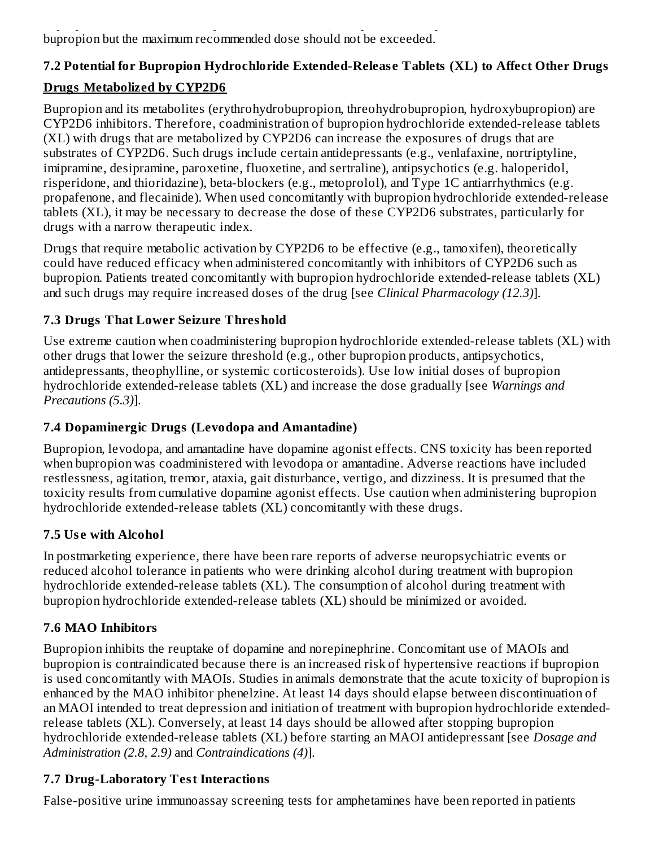bupropion is used concomitantly with a CYP inducer, it may be necessary to increase the dose of bupropion but the maximum recommended dose should not be exceeded.

# **7.2 Potential for Bupropion Hydrochloride Extended-Releas e Tablets (XL) to Affect Other Drugs**

# **Drugs Metabolized by CYP2D6**

Bupropion and its metabolites (erythrohydrobupropion, threohydrobupropion, hydroxybupropion) are CYP2D6 inhibitors. Therefore, coadministration of bupropion hydrochloride extended-release tablets (XL) with drugs that are metabolized by CYP2D6 can increase the exposures of drugs that are substrates of CYP2D6. Such drugs include certain antidepressants (e.g., venlafaxine, nortriptyline, imipramine, desipramine, paroxetine, fluoxetine, and sertraline), antipsychotics (e.g. haloperidol, risperidone, and thioridazine), beta-blockers (e.g., metoprolol), and Type 1C antiarrhythmics (e.g. propafenone, and flecainide). When used concomitantly with bupropion hydrochloride extended-release tablets (XL), it may be necessary to decrease the dose of these CYP2D6 substrates, particularly for drugs with a narrow therapeutic index.

Drugs that require metabolic activation by CYP2D6 to be effective (e.g., tamoxifen), theoretically could have reduced efficacy when administered concomitantly with inhibitors of CYP2D6 such as bupropion. Patients treated concomitantly with bupropion hydrochloride extended-release tablets (XL) and such drugs may require increased doses of the drug [see *Clinical Pharmacology (12.3)*].

# **7.3 Drugs That Lower Seizure Threshold**

Use extreme caution when coadministering bupropion hydrochloride extended-release tablets (XL) with other drugs that lower the seizure threshold (e.g., other bupropion products, antipsychotics, antidepressants, theophylline, or systemic corticosteroids). Use low initial doses of bupropion hydrochloride extended-release tablets (XL) and increase the dose gradually [see *Warnings and Precautions (5.3)*].

# **7.4 Dopaminergic Drugs (Levodopa and Amantadine)**

Bupropion, levodopa, and amantadine have dopamine agonist effects. CNS toxicity has been reported when bupropion was coadministered with levodopa or amantadine. Adverse reactions have included restlessness, agitation, tremor, ataxia, gait disturbance, vertigo, and dizziness. It is presumed that the toxicity results from cumulative dopamine agonist effects. Use caution when administering bupropion hydrochloride extended-release tablets (XL) concomitantly with these drugs.

# **7.5 Us e with Alcohol**

In postmarketing experience, there have been rare reports of adverse neuropsychiatric events or reduced alcohol tolerance in patients who were drinking alcohol during treatment with bupropion hydrochloride extended-release tablets (XL). The consumption of alcohol during treatment with bupropion hydrochloride extended-release tablets (XL) should be minimized or avoided.

# **7.6 MAO Inhibitors**

Bupropion inhibits the reuptake of dopamine and norepinephrine. Concomitant use of MAOIs and bupropion is contraindicated because there is an increased risk of hypertensive reactions if bupropion is used concomitantly with MAOIs. Studies in animals demonstrate that the acute toxicity of bupropion is enhanced by the MAO inhibitor phenelzine. At least 14 days should elapse between discontinuation of an MAOI intended to treat depression and initiation of treatment with bupropion hydrochloride extendedrelease tablets (XL). Conversely, at least 14 days should be allowed after stopping bupropion hydrochloride extended-release tablets (XL) before starting an MAOI antidepressant [see *Dosage and Administration (2.8, 2.9)* and *Contraindications (4)*].

# **7.7 Drug-Laboratory Test Interactions**

False-positive urine immunoassay screening tests for amphetamines have been reported in patients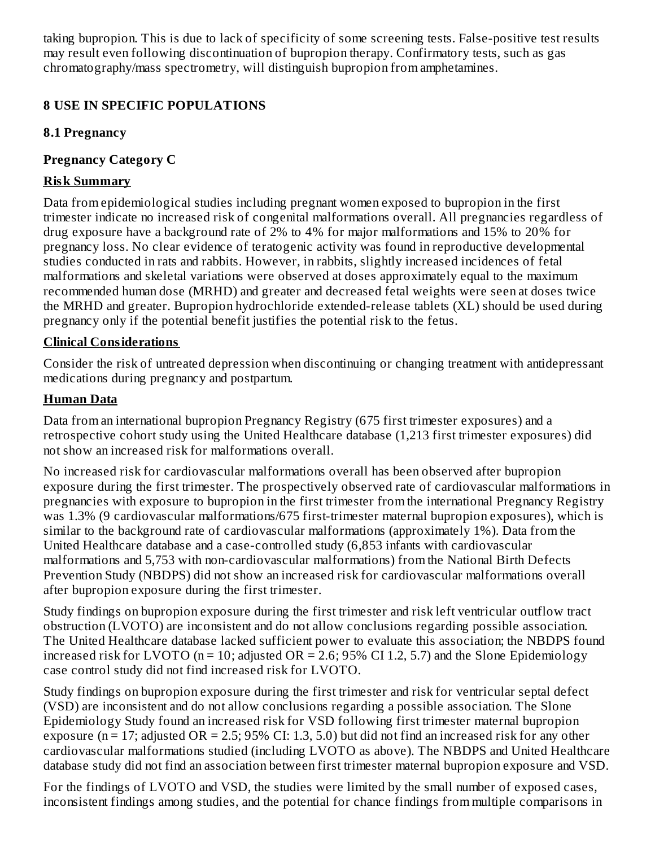taking bupropion. This is due to lack of specificity of some screening tests. False-positive test results may result even following discontinuation of bupropion therapy. Confirmatory tests, such as gas chromatography/mass spectrometry, will distinguish bupropion from amphetamines.

# **8 USE IN SPECIFIC POPULATIONS**

# **8.1 Pregnancy**

### **Pregnancy Category C**

# **Risk Summary**

Data from epidemiological studies including pregnant women exposed to bupropion in the first trimester indicate no increased risk of congenital malformations overall. All pregnancies regardless of drug exposure have a background rate of 2% to 4% for major malformations and 15% to 20% for pregnancy loss. No clear evidence of teratogenic activity was found in reproductive developmental studies conducted in rats and rabbits. However, in rabbits, slightly increased incidences of fetal malformations and skeletal variations were observed at doses approximately equal to the maximum recommended human dose (MRHD) and greater and decreased fetal weights were seen at doses twice the MRHD and greater. Bupropion hydrochloride extended-release tablets (XL) should be used during pregnancy only if the potential benefit justifies the potential risk to the fetus.

# **Clinical Considerations**

Consider the risk of untreated depression when discontinuing or changing treatment with antidepressant medications during pregnancy and postpartum.

# **Human Data**

Data from an international bupropion Pregnancy Registry (675 first trimester exposures) and a retrospective cohort study using the United Healthcare database (1,213 first trimester exposures) did not show an increased risk for malformations overall.

No increased risk for cardiovascular malformations overall has been observed after bupropion exposure during the first trimester. The prospectively observed rate of cardiovascular malformations in pregnancies with exposure to bupropion in the first trimester from the international Pregnancy Registry was 1.3% (9 cardiovascular malformations/675 first-trimester maternal bupropion exposures), which is similar to the background rate of cardiovascular malformations (approximately 1%). Data from the United Healthcare database and a case-controlled study (6,853 infants with cardiovascular malformations and 5,753 with non-cardiovascular malformations) from the National Birth Defects Prevention Study (NBDPS) did not show an increased risk for cardiovascular malformations overall after bupropion exposure during the first trimester.

Study findings on bupropion exposure during the first trimester and risk left ventricular outflow tract obstruction (LVOTO) are inconsistent and do not allow conclusions regarding possible association. The United Healthcare database lacked sufficient power to evaluate this association; the NBDPS found increased risk for LVOTO ( $n = 10$ ; adjusted OR = 2.6; 95% CI 1.2, 5.7) and the Slone Epidemiology case control study did not find increased risk for LVOTO.

Study findings on bupropion exposure during the first trimester and risk for ventricular septal defect (VSD) are inconsistent and do not allow conclusions regarding a possible association. The Slone Epidemiology Study found an increased risk for VSD following first trimester maternal bupropion exposure ( $n = 17$ ; adjusted OR = 2.5; 95% CI; 1.3, 5.0) but did not find an increased risk for any other cardiovascular malformations studied (including LVOTO as above). The NBDPS and United Healthcare database study did not find an association between first trimester maternal bupropion exposure and VSD.

For the findings of LVOTO and VSD, the studies were limited by the small number of exposed cases, inconsistent findings among studies, and the potential for chance findings from multiple comparisons in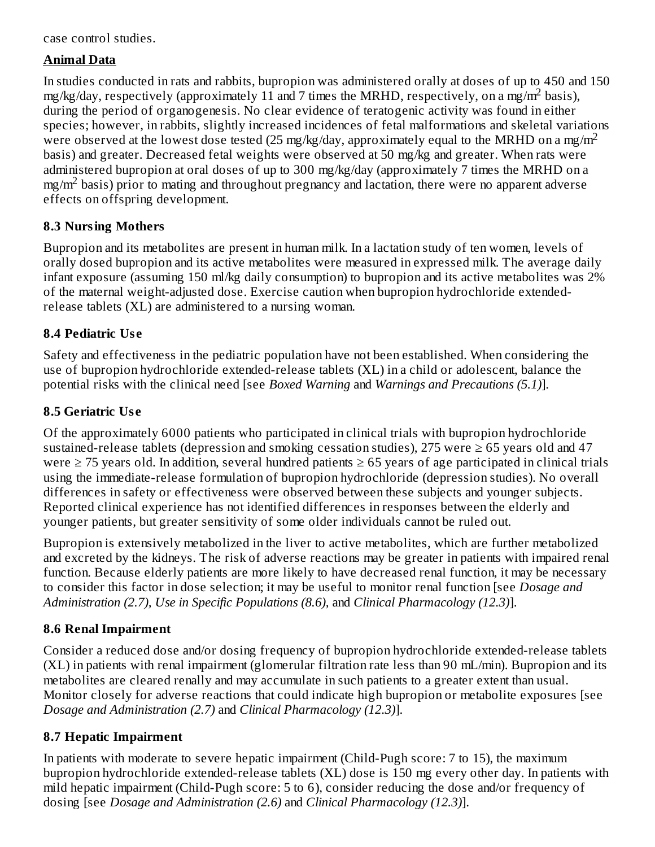case control studies.

#### **Animal Data**

In studies conducted in rats and rabbits, bupropion was administered orally at doses of up to 450 and 150 mg/kg/day, respectively (approximately 11 and 7 times the MRHD, respectively, on a mg/m<sup>2</sup> basis), during the period of organogenesis. No clear evidence of teratogenic activity was found in either species; however, in rabbits, slightly increased incidences of fetal malformations and skeletal variations were observed at the lowest dose tested (25 mg/kg/day, approximately equal to the MRHD on a mg/m<sup>2</sup> basis) and greater. Decreased fetal weights were observed at 50 mg/kg and greater. When rats were administered bupropion at oral doses of up to 300 mg/kg/day (approximately 7 times the MRHD on a  $mg/m<sup>2</sup>$  basis) prior to mating and throughout pregnancy and lactation, there were no apparent adverse effects on offspring development.

### **8.3 Nursing Mothers**

Bupropion and its metabolites are present in human milk. In a lactation study of ten women, levels of orally dosed bupropion and its active metabolites were measured in expressed milk. The average daily infant exposure (assuming 150 ml/kg daily consumption) to bupropion and its active metabolites was 2% of the maternal weight-adjusted dose. Exercise caution when bupropion hydrochloride extendedrelease tablets (XL) are administered to a nursing woman.

#### **8.4 Pediatric Us e**

Safety and effectiveness in the pediatric population have not been established. When considering the use of bupropion hydrochloride extended-release tablets (XL) in a child or adolescent, balance the potential risks with the clinical need [see *Boxed Warning* and *Warnings and Precautions (5.1)*].

# **8.5 Geriatric Us e**

Of the approximately 6000 patients who participated in clinical trials with bupropion hydrochloride sustained-release tablets (depression and smoking cessation studies), 275 were  $\geq 65$  years old and 47 were ≥ 75 years old. In addition, several hundred patients ≥ 65 years of age participated in clinical trials using the immediate-release formulation of bupropion hydrochloride (depression studies). No overall differences in safety or effectiveness were observed between these subjects and younger subjects. Reported clinical experience has not identified differences in responses between the elderly and younger patients, but greater sensitivity of some older individuals cannot be ruled out.

Bupropion is extensively metabolized in the liver to active metabolites, which are further metabolized and excreted by the kidneys. The risk of adverse reactions may be greater in patients with impaired renal function. Because elderly patients are more likely to have decreased renal function, it may be necessary to consider this factor in dose selection; it may be useful to monitor renal function [see *Dosage and Administration (2.7), Use in Specific Populations (8.6),* and *Clinical Pharmacology (12.3)*].

### **8.6 Renal Impairment**

Consider a reduced dose and/or dosing frequency of bupropion hydrochloride extended-release tablets (XL) in patients with renal impairment (glomerular filtration rate less than 90 mL/min). Bupropion and its metabolites are cleared renally and may accumulate in such patients to a greater extent than usual. Monitor closely for adverse reactions that could indicate high bupropion or metabolite exposures [see *Dosage and Administration (2.7)* and *Clinical Pharmacology (12.3)*].

### **8.7 Hepatic Impairment**

In patients with moderate to severe hepatic impairment (Child-Pugh score: 7 to 15), the maximum bupropion hydrochloride extended-release tablets (XL) dose is 150 mg every other day. In patients with mild hepatic impairment (Child-Pugh score: 5 to 6), consider reducing the dose and/or frequency of dosing [see *Dosage and Administration (2.6)* and *Clinical Pharmacology (12.3)*].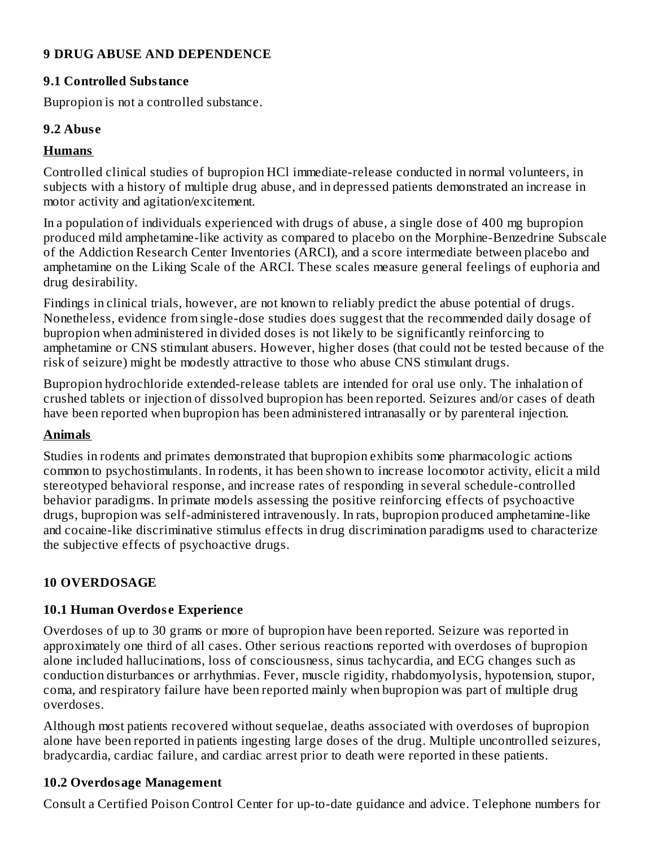#### **9 DRUG ABUSE AND DEPENDENCE**

#### **9.1 Controlled Substance**

Bupropion is not a controlled substance.

#### **9.2 Abus e**

#### **Humans**

Controlled clinical studies of bupropion HCl immediate-release conducted in normal volunteers, in subjects with a history of multiple drug abuse, and in depressed patients demonstrated an increase in motor activity and agitation/excitement.

In a population of individuals experienced with drugs of abuse, a single dose of 400 mg bupropion produced mild amphetamine-like activity as compared to placebo on the Morphine-Benzedrine Subscale of the Addiction Research Center Inventories (ARCI), and a score intermediate between placebo and amphetamine on the Liking Scale of the ARCI. These scales measure general feelings of euphoria and drug desirability.

Findings in clinical trials, however, are not known to reliably predict the abuse potential of drugs. Nonetheless, evidence from single-dose studies does suggest that the recommended daily dosage of bupropion when administered in divided doses is not likely to be significantly reinforcing to amphetamine or CNS stimulant abusers. However, higher doses (that could not be tested because of the risk of seizure) might be modestly attractive to those who abuse CNS stimulant drugs.

Bupropion hydrochloride extended-release tablets are intended for oral use only. The inhalation of crushed tablets or injection of dissolved bupropion has been reported. Seizures and/or cases of death have been reported when bupropion has been administered intranasally or by parenteral injection.

#### **Animals**

Studies in rodents and primates demonstrated that bupropion exhibits some pharmacologic actions common to psychostimulants. In rodents, it has been shown to increase locomotor activity, elicit a mild stereotyped behavioral response, and increase rates of responding in several schedule-controlled behavior paradigms. In primate models assessing the positive reinforcing effects of psychoactive drugs, bupropion was self-administered intravenously. In rats, bupropion produced amphetamine-like and cocaine-like discriminative stimulus effects in drug discrimination paradigms used to characterize the subjective effects of psychoactive drugs.

### **10 OVERDOSAGE**

#### **10.1 Human Overdos e Experience**

Overdoses of up to 30 grams or more of bupropion have been reported. Seizure was reported in approximately one third of all cases. Other serious reactions reported with overdoses of bupropion alone included hallucinations, loss of consciousness, sinus tachycardia, and ECG changes such as conduction disturbances or arrhythmias. Fever, muscle rigidity, rhabdomyolysis, hypotension, stupor, coma, and respiratory failure have been reported mainly when bupropion was part of multiple drug overdoses.

Although most patients recovered without sequelae, deaths associated with overdoses of bupropion alone have been reported in patients ingesting large doses of the drug. Multiple uncontrolled seizures, bradycardia, cardiac failure, and cardiac arrest prior to death were reported in these patients.

#### **10.2 Overdosage Management**

Consult a Certified Poison Control Center for up-to-date guidance and advice. Telephone numbers for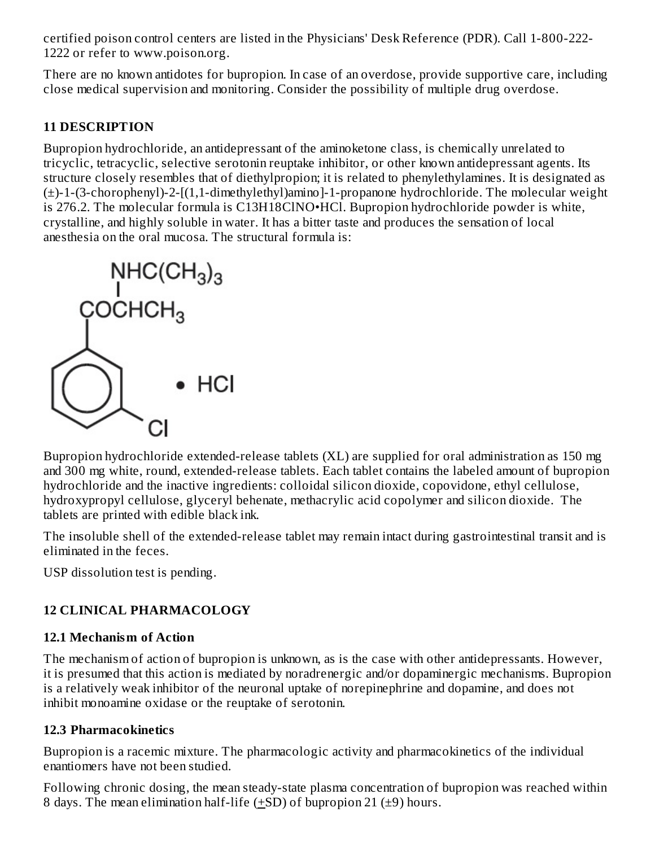certified poison control centers are listed in the Physicians' Desk Reference (PDR). Call 1-800-222- 1222 or refer to www.poison.org.

There are no known antidotes for bupropion. In case of an overdose, provide supportive care, including close medical supervision and monitoring. Consider the possibility of multiple drug overdose.

# **11 DESCRIPTION**

Bupropion hydrochloride, an antidepressant of the aminoketone class, is chemically unrelated to tricyclic, tetracyclic, selective serotonin reuptake inhibitor, or other known antidepressant agents. Its structure closely resembles that of diethylpropion; it is related to phenylethylamines. It is designated as (±)-1-(3-chorophenyl)-2-[(1,1-dimethylethyl)amino]-1-propanone hydrochloride. The molecular weight is 276.2. The molecular formula is C13H18ClNO•HCl. Bupropion hydrochloride powder is white, crystalline, and highly soluble in water. It has a bitter taste and produces the sensation of local anesthesia on the oral mucosa. The structural formula is:



Bupropion hydrochloride extended-release tablets (XL) are supplied for oral administration as 150 mg and 300 mg white, round, extended-release tablets. Each tablet contains the labeled amount of bupropion hydrochloride and the inactive ingredients: colloidal silicon dioxide, copovidone, ethyl cellulose, hydroxypropyl cellulose, glyceryl behenate, methacrylic acid copolymer and silicon dioxide. The tablets are printed with edible black ink.

The insoluble shell of the extended-release tablet may remain intact during gastrointestinal transit and is eliminated in the feces.

USP dissolution test is pending.

# **12 CLINICAL PHARMACOLOGY**

### **12.1 Mechanism of Action**

The mechanism of action of bupropion is unknown, as is the case with other antidepressants. However, it is presumed that this action is mediated by noradrenergic and/or dopaminergic mechanisms. Bupropion is a relatively weak inhibitor of the neuronal uptake of norepinephrine and dopamine, and does not inhibit monoamine oxidase or the reuptake of serotonin.

### **12.3 Pharmacokinetics**

Bupropion is a racemic mixture. The pharmacologic activity and pharmacokinetics of the individual enantiomers have not been studied.

Following chronic dosing, the mean steady-state plasma concentration of bupropion was reached within 8 days. The mean elimination half-life  $(+SD)$  of bupropion 21  $(+9)$  hours.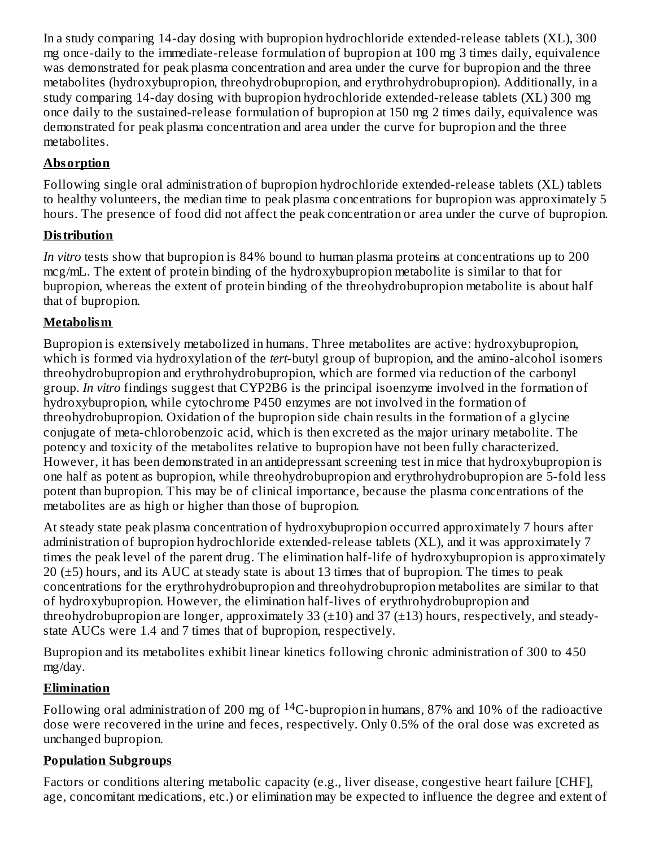In a study comparing 14-day dosing with bupropion hydrochloride extended-release tablets (XL), 300 mg once-daily to the immediate-release formulation of bupropion at 100 mg 3 times daily, equivalence was demonstrated for peak plasma concentration and area under the curve for bupropion and the three metabolites (hydroxybupropion, threohydrobupropion, and erythrohydrobupropion). Additionally, in a study comparing 14-day dosing with bupropion hydrochloride extended-release tablets (XL) 300 mg once daily to the sustained-release formulation of bupropion at 150 mg 2 times daily, equivalence was demonstrated for peak plasma concentration and area under the curve for bupropion and the three metabolites.

# **Absorption**

Following single oral administration of bupropion hydrochloride extended-release tablets (XL) tablets to healthy volunteers, the median time to peak plasma concentrations for bupropion was approximately 5 hours. The presence of food did not affect the peak concentration or area under the curve of bupropion.

# **Distribution**

*In vitro* tests show that bupropion is 84% bound to human plasma proteins at concentrations up to 200 mcg/mL. The extent of protein binding of the hydroxybupropion metabolite is similar to that for bupropion, whereas the extent of protein binding of the threohydrobupropion metabolite is about half that of bupropion.

# **Metabolism**

Bupropion is extensively metabolized in humans. Three metabolites are active: hydroxybupropion, which is formed via hydroxylation of the *tert*-butyl group of bupropion, and the amino-alcohol isomers threohydrobupropion and erythrohydrobupropion, which are formed via reduction of the carbonyl group. *In vitro* findings suggest that CYP2B6 is the principal isoenzyme involved in the formation of hydroxybupropion, while cytochrome P450 enzymes are not involved in the formation of threohydrobupropion. Oxidation of the bupropion side chain results in the formation of a glycine conjugate of meta-chlorobenzoic acid, which is then excreted as the major urinary metabolite. The potency and toxicity of the metabolites relative to bupropion have not been fully characterized. However, it has been demonstrated in an antidepressant screening test in mice that hydroxybupropion is one half as potent as bupropion, while threohydrobupropion and erythrohydrobupropion are 5-fold less potent than bupropion. This may be of clinical importance, because the plasma concentrations of the metabolites are as high or higher than those of bupropion.

At steady state peak plasma concentration of hydroxybupropion occurred approximately 7 hours after administration of bupropion hydrochloride extended-release tablets (XL), and it was approximately 7 times the peak level of the parent drug. The elimination half-life of hydroxybupropion is approximately 20 (±5) hours, and its AUC at steady state is about 13 times that of bupropion. The times to peak concentrations for the erythrohydrobupropion and threohydrobupropion metabolites are similar to that of hydroxybupropion. However, the elimination half-lives of erythrohydrobupropion and threohydrobupropion are longer, approximately 33  $(\pm 10)$  and 37  $(\pm 13)$  hours, respectively, and steadystate AUCs were 1.4 and 7 times that of bupropion, respectively.

Bupropion and its metabolites exhibit linear kinetics following chronic administration of 300 to 450 mg/day.

### **Elimination**

Following oral administration of 200 mg of  $^{14}$ C-bupropion in humans, 87% and 10% of the radioactive dose were recovered in the urine and feces, respectively. Only 0.5% of the oral dose was excreted as unchanged bupropion.

# **Population Subgroups**

Factors or conditions altering metabolic capacity (e.g., liver disease, congestive heart failure [CHF], age, concomitant medications, etc.) or elimination may be expected to influence the degree and extent of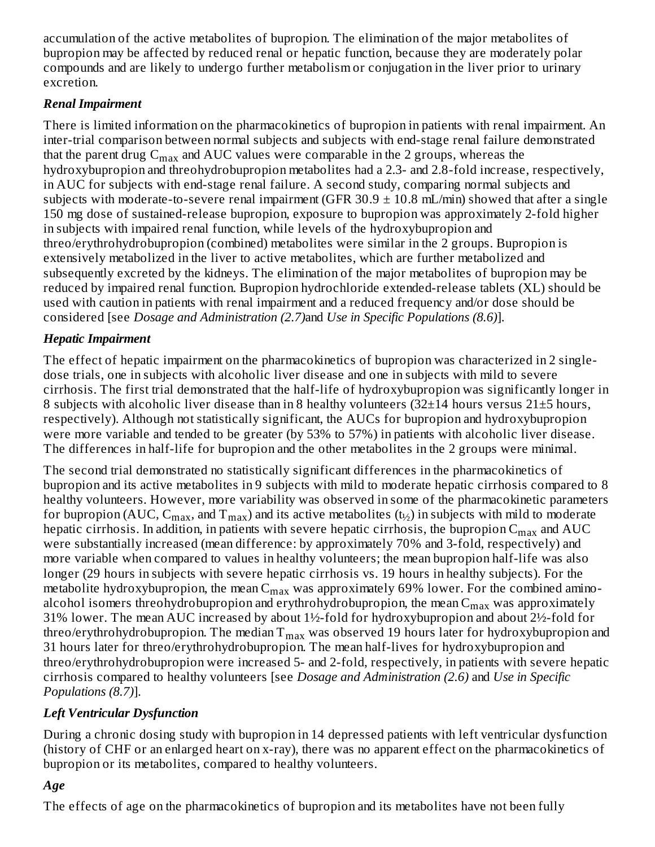accumulation of the active metabolites of bupropion. The elimination of the major metabolites of bupropion may be affected by reduced renal or hepatic function, because they are moderately polar compounds and are likely to undergo further metabolism or conjugation in the liver prior to urinary excretion.

# *Renal Impairment*

There is limited information on the pharmacokinetics of bupropion in patients with renal impairment. An inter-trial comparison between normal subjects and subjects with end-stage renal failure demonstrated that the parent drug  $\mathsf{C}_{\max}$  and  $\mathrm{AUC}$  values were comparable in the 2 groups, whereas the hydroxybupropion and threohydrobupropion metabolites had a 2.3- and 2.8-fold increase, respectively, in AUC for subjects with end-stage renal failure. A second study, comparing normal subjects and subjects with moderate-to-severe renal impairment (GFR  $30.9 \pm 10.8$  mL/min) showed that after a single 150 mg dose of sustained-release bupropion, exposure to bupropion was approximately 2-fold higher in subjects with impaired renal function, while levels of the hydroxybupropion and threo/erythrohydrobupropion (combined) metabolites were similar in the 2 groups. Bupropion is extensively metabolized in the liver to active metabolites, which are further metabolized and subsequently excreted by the kidneys. The elimination of the major metabolites of bupropion may be reduced by impaired renal function. Bupropion hydrochloride extended-release tablets (XL) should be used with caution in patients with renal impairment and a reduced frequency and/or dose should be considered [see *Dosage and Administration (2.7)*and *Use in Specific Populations (8.6)*].

### *Hepatic Impairment*

The effect of hepatic impairment on the pharmacokinetics of bupropion was characterized in 2 singledose trials, one in subjects with alcoholic liver disease and one in subjects with mild to severe cirrhosis. The first trial demonstrated that the half-life of hydroxybupropion was significantly longer in 8 subjects with alcoholic liver disease than in 8 healthy volunteers (32±14 hours versus 21±5 hours, respectively). Although not statistically significant, the AUCs for bupropion and hydroxybupropion were more variable and tended to be greater (by 53% to 57%) in patients with alcoholic liver disease. The differences in half-life for bupropion and the other metabolites in the 2 groups were minimal.

The second trial demonstrated no statistically significant differences in the pharmacokinetics of bupropion and its active metabolites in 9 subjects with mild to moderate hepatic cirrhosis compared to 8 healthy volunteers. However, more variability was observed in some of the pharmacokinetic parameters for bupropion (AUC,  $\rm C_{max}$ , and  $\rm T_{max}$ ) and its active metabolites (t $_{\rm 42}$ ) in subjects with mild to moderate hepatic cirrhosis. In addition, in patients with severe hepatic cirrhosis, the bupropion  $\rm C_{max}$  and  $\rm AUC$ were substantially increased (mean difference: by approximately 70% and 3-fold, respectively) and more variable when compared to values in healthy volunteers; the mean bupropion half-life was also longer (29 hours in subjects with severe hepatic cirrhosis vs. 19 hours in healthy subjects). For the metabolite hydroxybupropion, the mean  $\mathsf{C}_{\max}$  was approximately  $69\%$  lower. For the combined aminoalcohol isomers threohydrobupropion and erythrohydrobupropion, the mean  $\rm{C_{max}}$  was approximately 31% lower. The mean AUC increased by about 1½-fold for hydroxybupropion and about 2½-fold for threo/erythrohydrobupropion. The median  $\rm T_{max}$  was observed 19 hours later for hydroxybupropion and 31 hours later for threo/erythrohydrobupropion. The mean half-lives for hydroxybupropion and threo/erythrohydrobupropion were increased 5- and 2-fold, respectively, in patients with severe hepatic cirrhosis compared to healthy volunteers [see *Dosage and Administration (2.6)* and *Use in Specific Populations (8.7)*].

# *Left Ventricular Dysfunction*

During a chronic dosing study with bupropion in 14 depressed patients with left ventricular dysfunction (history of CHF or an enlarged heart on x-ray), there was no apparent effect on the pharmacokinetics of bupropion or its metabolites, compared to healthy volunteers.

# *Age*

The effects of age on the pharmacokinetics of bupropion and its metabolites have not been fully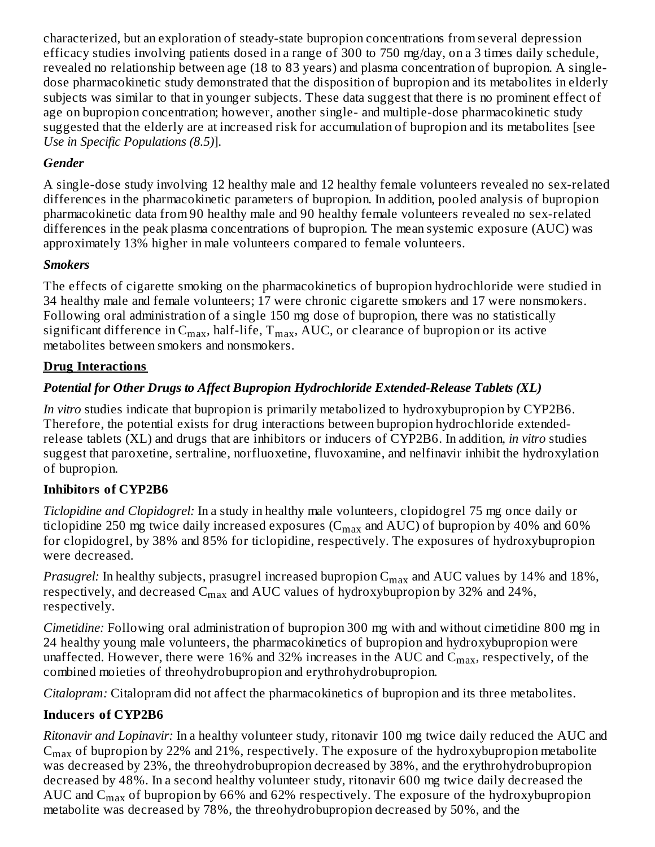characterized, but an exploration of steady-state bupropion concentrations from several depression efficacy studies involving patients dosed in a range of 300 to 750 mg/day, on a 3 times daily schedule, revealed no relationship between age (18 to 83 years) and plasma concentration of bupropion. A singledose pharmacokinetic study demonstrated that the disposition of bupropion and its metabolites in elderly subjects was similar to that in younger subjects. These data suggest that there is no prominent effect of age on bupropion concentration; however, another single- and multiple-dose pharmacokinetic study suggested that the elderly are at increased risk for accumulation of bupropion and its metabolites [see *Use in Specific Populations (8.5)*].

### *Gender*

A single-dose study involving 12 healthy male and 12 healthy female volunteers revealed no sex-related differences in the pharmacokinetic parameters of bupropion. In addition, pooled analysis of bupropion pharmacokinetic data from 90 healthy male and 90 healthy female volunteers revealed no sex-related differences in the peak plasma concentrations of bupropion. The mean systemic exposure (AUC) was approximately 13% higher in male volunteers compared to female volunteers.

# *Smokers*

The effects of cigarette smoking on the pharmacokinetics of bupropion hydrochloride were studied in 34 healthy male and female volunteers; 17 were chronic cigarette smokers and 17 were nonsmokers. Following oral administration of a single 150 mg dose of bupropion, there was no statistically significant difference in  $\rm{C_{max}}$ , half-life,  $\rm{T_{max}}$ , AUC, or clearance of bupropion or its active metabolites between smokers and nonsmokers.

# **Drug Interactions**

# *Potential for Other Drugs to Affect Bupropion Hydrochloride Extended-Release Tablets (XL)*

*In vitro* studies indicate that bupropion is primarily metabolized to hydroxybupropion by CYP2B6. Therefore, the potential exists for drug interactions between bupropion hydrochloride extendedrelease tablets (XL) and drugs that are inhibitors or inducers of CYP2B6. In addition, *in vitro* studies suggest that paroxetine, sertraline, norfluoxetine, fluvoxamine, and nelfinavir inhibit the hydroxylation of bupropion.

### **Inhibitors of CYP2B6**

*Ticlopidine and Clopidogrel:* In a study in healthy male volunteers, clopidogrel 75 mg once daily or ticlopidine 250 mg twice daily increased exposures (C $_{\rm max}$  and AUC) of bupropion by 40% and 60% for clopidogrel, by 38% and 85% for ticlopidine, respectively. The exposures of hydroxybupropion were decreased.

*Prasugrel:* In healthy subjects, prasugrel increased bupropion  $\rm{C_{max}}$  and  $\rm{AUC}$  values by 14% and 18%, respectively, and decreased  $\rm{C_{max}}$  and  $\rm{AUC}$  values of hydroxybupropion by 32% and 24%, respectively.

*Cimetidine:* Following oral administration of bupropion 300 mg with and without cimetidine 800 mg in 24 healthy young male volunteers, the pharmacokinetics of bupropion and hydroxybupropion were unaffected. However, there were 16% and 32% increases in the AUC and  $\rm{C_{max}}$ , respectively, of the combined moieties of threohydrobupropion and erythrohydrobupropion.

*Citalopram:* Citalopram did not affect the pharmacokinetics of bupropion and its three metabolites.

# **Inducers of CYP2B6**

*Ritonavir and Lopinavir:* In a healthy volunteer study, ritonavir 100 mg twice daily reduced the AUC and  $\rm{C_{max}}$  of bupropion by 22% and 21%, respectively. The exposure of the hydroxybupropion metabolite was decreased by 23%, the threohydrobupropion decreased by 38%, and the erythrohydrobupropion decreased by 48%. In a second healthy volunteer study, ritonavir 600 mg twice daily decreased the AUC and  $\rm{C_{max}}$  of bupropion by 66% and 62% respectively. The exposure of the hydroxybupropion metabolite was decreased by 78%, the threohydrobupropion decreased by 50%, and the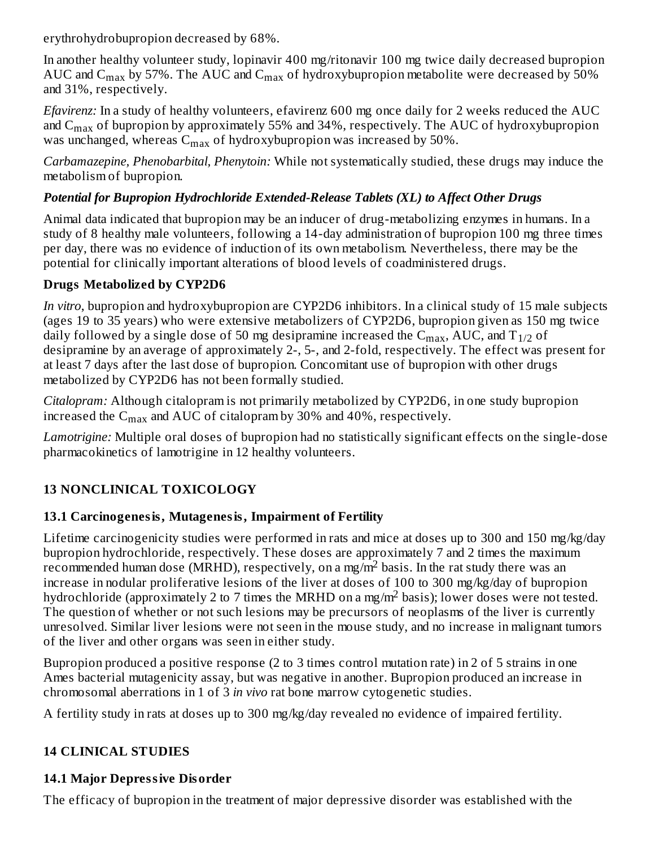erythrohydrobupropion decreased by 68%.

In another healthy volunteer study, lopinavir 400 mg/ritonavir 100 mg twice daily decreased bupropion AUC and C $_{\rm max}$  by 57%. The AUC and C $_{\rm max}$  of hydroxybupropion metabolite were decreased by 50% and 31%, respectively.

*Efavirenz:* In a study of healthy volunteers, efavirenz 600 mg once daily for 2 weeks reduced the AUC and  $\rm{C_{max}}$  of bupropion by approximately 55% and 34%, respectively. The AUC of hydroxybupropion was unchanged, whereas  $\mathsf{C}_{\max}$  of hydroxybupropion was increased by 50%.

*Carbamazepine, Phenobarbital, Phenytoin:* While not systematically studied, these drugs may induce the metabolism of bupropion.

# *Potential for Bupropion Hydrochloride Extended-Release Tablets (XL) to Affect Other Drugs*

Animal data indicated that bupropion may be an inducer of drug-metabolizing enzymes in humans. In a study of 8 healthy male volunteers, following a 14-day administration of bupropion 100 mg three times per day, there was no evidence of induction of its own metabolism. Nevertheless, there may be the potential for clinically important alterations of blood levels of coadministered drugs.

# **Drugs Metabolized by CYP2D6**

*In vitro*, bupropion and hydroxybupropion are CYP2D6 inhibitors. In a clinical study of 15 male subjects (ages 19 to 35 years) who were extensive metabolizers of CYP2D6, bupropion given as 150 mg twice daily followed by a single dose of 50 mg desipramine increased the  $\rm C_{max}$ ,  $\rm AUC$ , and  $\rm T_{1/2}$  of desipramine by an average of approximately 2-, 5-, and 2-fold, respectively. The effect was present for at least 7 days after the last dose of bupropion. Concomitant use of bupropion with other drugs metabolized by CYP2D6 has not been formally studied.

*Citalopram:* Although citalopram is not primarily metabolized by CYP2D6, in one study bupropion increased the  $\rm C_{max}$  and AUC of citalopram by 30% and 40%, respectively.

*Lamotrigine:* Multiple oral doses of bupropion had no statistically significant effects on the single-dose pharmacokinetics of lamotrigine in 12 healthy volunteers.

# **13 NONCLINICAL TOXICOLOGY**

### **13.1 Carcinogenesis, Mutagenesis, Impairment of Fertility**

Lifetime carcinogenicity studies were performed in rats and mice at doses up to 300 and 150 mg/kg/day bupropion hydrochloride, respectively. These doses are approximately 7 and 2 times the maximum recommended human dose (MRHD), respectively, on a mg/m<sup>2</sup> basis. In the rat study there was an increase in nodular proliferative lesions of the liver at doses of 100 to 300 mg/kg/day of bupropion hydrochloride (approximately 2 to 7 times the MRHD on a mg/m<sup>2</sup> basis); lower doses were not tested. The question of whether or not such lesions may be precursors of neoplasms of the liver is currently unresolved. Similar liver lesions were not seen in the mouse study, and no increase in malignant tumors of the liver and other organs was seen in either study.

Bupropion produced a positive response (2 to 3 times control mutation rate) in 2 of 5 strains in one Ames bacterial mutagenicity assay, but was negative in another. Bupropion produced an increase in chromosomal aberrations in 1 of 3 *in vivo* rat bone marrow cytogenetic studies.

A fertility study in rats at doses up to 300 mg/kg/day revealed no evidence of impaired fertility.

### **14 CLINICAL STUDIES**

### **14.1 Major Depressive Disorder**

The efficacy of bupropion in the treatment of major depressive disorder was established with the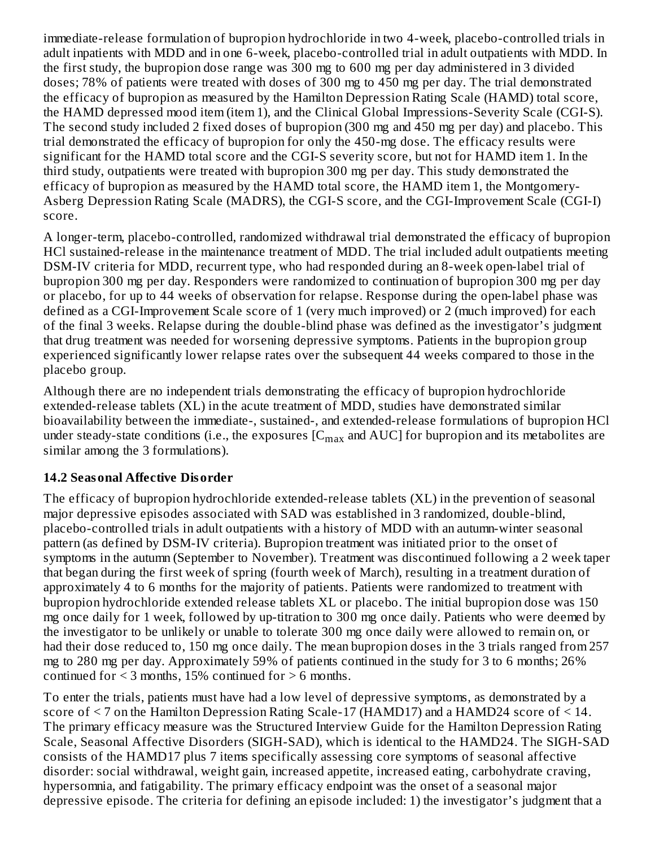immediate-release formulation of bupropion hydrochloride in two 4-week, placebo-controlled trials in adult inpatients with MDD and in one 6-week, placebo-controlled trial in adult outpatients with MDD. In the first study, the bupropion dose range was 300 mg to 600 mg per day administered in 3 divided doses; 78% of patients were treated with doses of 300 mg to 450 mg per day. The trial demonstrated the efficacy of bupropion as measured by the Hamilton Depression Rating Scale (HAMD) total score, the HAMD depressed mood item (item 1), and the Clinical Global Impressions-Severity Scale (CGI-S). The second study included 2 fixed doses of bupropion (300 mg and 450 mg per day) and placebo. This trial demonstrated the efficacy of bupropion for only the 450-mg dose. The efficacy results were significant for the HAMD total score and the CGI-S severity score, but not for HAMD item 1. In the third study, outpatients were treated with bupropion 300 mg per day. This study demonstrated the efficacy of bupropion as measured by the HAMD total score, the HAMD item 1, the Montgomery-Asberg Depression Rating Scale (MADRS), the CGI-S score, and the CGI-Improvement Scale (CGI-I) score.

A longer-term, placebo-controlled, randomized withdrawal trial demonstrated the efficacy of bupropion HCl sustained-release in the maintenance treatment of MDD. The trial included adult outpatients meeting DSM-IV criteria for MDD, recurrent type, who had responded during an 8-week open-label trial of bupropion 300 mg per day. Responders were randomized to continuation of bupropion 300 mg per day or placebo, for up to 44 weeks of observation for relapse. Response during the open-label phase was defined as a CGI-Improvement Scale score of 1 (very much improved) or 2 (much improved) for each of the final 3 weeks. Relapse during the double-blind phase was defined as the investigator's judgment that drug treatment was needed for worsening depressive symptoms. Patients in the bupropion group experienced significantly lower relapse rates over the subsequent 44 weeks compared to those in the placebo group.

Although there are no independent trials demonstrating the efficacy of bupropion hydrochloride extended-release tablets (XL) in the acute treatment of MDD, studies have demonstrated similar bioavailability between the immediate-, sustained-, and extended-release formulations of bupropion HCl under steady-state conditions (i.e., the exposures [C $_{\rm max}$  and AUC] for bupropion and its metabolites are similar among the 3 formulations).

#### **14.2 Seasonal Affective Disorder**

The efficacy of bupropion hydrochloride extended-release tablets (XL) in the prevention of seasonal major depressive episodes associated with SAD was established in 3 randomized, double-blind, placebo-controlled trials in adult outpatients with a history of MDD with an autumn-winter seasonal pattern (as defined by DSM-IV criteria). Bupropion treatment was initiated prior to the onset of symptoms in the autumn (September to November). Treatment was discontinued following a 2 week taper that began during the first week of spring (fourth week of March), resulting in a treatment duration of approximately 4 to 6 months for the majority of patients. Patients were randomized to treatment with bupropion hydrochloride extended release tablets XL or placebo. The initial bupropion dose was 150 mg once daily for 1 week, followed by up-titration to 300 mg once daily. Patients who were deemed by the investigator to be unlikely or unable to tolerate 300 mg once daily were allowed to remain on, or had their dose reduced to, 150 mg once daily. The mean bupropion doses in the 3 trials ranged from 257 mg to 280 mg per day. Approximately 59% of patients continued in the study for 3 to 6 months; 26% continued for  $\leq$  3 months, 15% continued for  $\geq$  6 months.

To enter the trials, patients must have had a low level of depressive symptoms, as demonstrated by a score of < 7 on the Hamilton Depression Rating Scale-17 (HAMD17) and a HAMD24 score of < 14. The primary efficacy measure was the Structured Interview Guide for the Hamilton Depression Rating Scale, Seasonal Affective Disorders (SIGH-SAD), which is identical to the HAMD24. The SIGH-SAD consists of the HAMD17 plus 7 items specifically assessing core symptoms of seasonal affective disorder: social withdrawal, weight gain, increased appetite, increased eating, carbohydrate craving, hypersomnia, and fatigability. The primary efficacy endpoint was the onset of a seasonal major depressive episode. The criteria for defining an episode included: 1) the investigator's judgment that a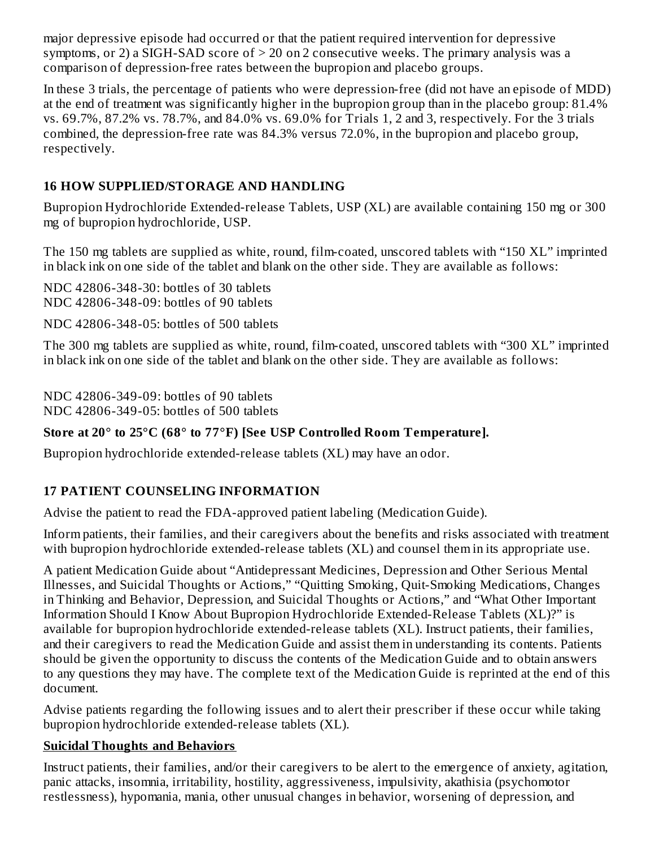major depressive episode had occurred or that the patient required intervention for depressive symptoms, or 2) a SIGH-SAD score of > 20 on 2 consecutive weeks. The primary analysis was a comparison of depression-free rates between the bupropion and placebo groups.

In these 3 trials, the percentage of patients who were depression-free (did not have an episode of MDD) at the end of treatment was significantly higher in the bupropion group than in the placebo group: 81.4% vs. 69.7%, 87.2% vs. 78.7%, and 84.0% vs. 69.0% for Trials 1, 2 and 3, respectively. For the 3 trials combined, the depression-free rate was 84.3% versus 72.0%, in the bupropion and placebo group, respectively.

# **16 HOW SUPPLIED/STORAGE AND HANDLING**

Bupropion Hydrochloride Extended-release Tablets, USP (XL) are available containing 150 mg or 300 mg of bupropion hydrochloride, USP.

The 150 mg tablets are supplied as white, round, film-coated, unscored tablets with "150 XL" imprinted in black ink on one side of the tablet and blank on the other side. They are available as follows:

NDC 42806-348-30: bottles of 30 tablets NDC 42806-348-09: bottles of 90 tablets

NDC 42806-348-05: bottles of 500 tablets

The 300 mg tablets are supplied as white, round, film-coated, unscored tablets with "300 XL" imprinted in black ink on one side of the tablet and blank on the other side. They are available as follows:

NDC 42806-349-09: bottles of 90 tablets NDC 42806-349-05: bottles of 500 tablets

# **Store at 20° to 25°C (68° to 77°F) [See USP Controlled Room Temperature].**

Bupropion hydrochloride extended-release tablets (XL) may have an odor.

# **17 PATIENT COUNSELING INFORMATION**

Advise the patient to read the FDA-approved patient labeling (Medication Guide).

Inform patients, their families, and their caregivers about the benefits and risks associated with treatment with bupropion hydrochloride extended-release tablets (XL) and counsel them in its appropriate use.

A patient Medication Guide about "Antidepressant Medicines, Depression and Other Serious Mental Illnesses, and Suicidal Thoughts or Actions," "Quitting Smoking, Quit-Smoking Medications, Changes in Thinking and Behavior, Depression, and Suicidal Thoughts or Actions," and "What Other Important Information Should I Know About Bupropion Hydrochloride Extended-Release Tablets (XL)?" is available for bupropion hydrochloride extended-release tablets (XL). Instruct patients, their families, and their caregivers to read the Medication Guide and assist them in understanding its contents. Patients should be given the opportunity to discuss the contents of the Medication Guide and to obtain answers to any questions they may have. The complete text of the Medication Guide is reprinted at the end of this document.

Advise patients regarding the following issues and to alert their prescriber if these occur while taking bupropion hydrochloride extended-release tablets (XL).

# **Suicidal Thoughts and Behaviors**

Instruct patients, their families, and/or their caregivers to be alert to the emergence of anxiety, agitation, panic attacks, insomnia, irritability, hostility, aggressiveness, impulsivity, akathisia (psychomotor restlessness), hypomania, mania, other unusual changes in behavior, worsening of depression, and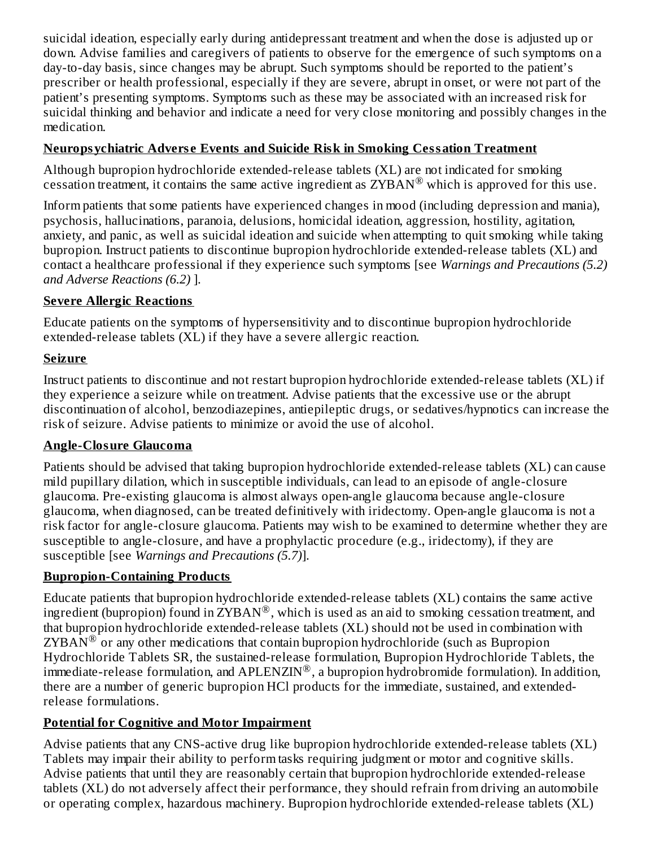suicidal ideation, especially early during antidepressant treatment and when the dose is adjusted up or down. Advise families and caregivers of patients to observe for the emergence of such symptoms on a day-to-day basis, since changes may be abrupt. Such symptoms should be reported to the patient's prescriber or health professional, especially if they are severe, abrupt in onset, or were not part of the patient's presenting symptoms. Symptoms such as these may be associated with an increased risk for suicidal thinking and behavior and indicate a need for very close monitoring and possibly changes in the medication.

# **Neuropsychiatric Advers e Events and Suicide Risk in Smoking Cessation Treatment**

Although bupropion hydrochloride extended-release tablets (XL) are not indicated for smoking cessation treatment, it contains the same active ingredient as  $\angle$ *XBAN*® which is approved for this use.

Inform patients that some patients have experienced changes in mood (including depression and mania), psychosis, hallucinations, paranoia, delusions, homicidal ideation, aggression, hostility, agitation, anxiety, and panic, as well as suicidal ideation and suicide when attempting to quit smoking while taking bupropion. Instruct patients to discontinue bupropion hydrochloride extended-release tablets (XL) and contact a healthcare professional if they experience such symptoms [see *Warnings and Precautions (5.2) and Adverse Reactions (6.2)* ].

### **Severe Allergic Reactions**

Educate patients on the symptoms of hypersensitivity and to discontinue bupropion hydrochloride extended-release tablets (XL) if they have a severe allergic reaction.

# **Seizure**

Instruct patients to discontinue and not restart bupropion hydrochloride extended-release tablets (XL) if they experience a seizure while on treatment. Advise patients that the excessive use or the abrupt discontinuation of alcohol, benzodiazepines, antiepileptic drugs, or sedatives/hypnotics can increase the risk of seizure. Advise patients to minimize or avoid the use of alcohol.

### **Angle-Closure Glaucoma**

Patients should be advised that taking bupropion hydrochloride extended-release tablets (XL) can cause mild pupillary dilation, which in susceptible individuals, can lead to an episode of angle-closure glaucoma. Pre-existing glaucoma is almost always open-angle glaucoma because angle-closure glaucoma, when diagnosed, can be treated definitively with iridectomy. Open-angle glaucoma is not a risk factor for angle-closure glaucoma. Patients may wish to be examined to determine whether they are susceptible to angle-closure, and have a prophylactic procedure (e.g., iridectomy), if they are susceptible [see *Warnings and Precautions (5.7)*].

# **Bupropion-Containing Products**

Educate patients that bupropion hydrochloride extended-release tablets (XL) contains the same active ingredient (bupropion) found in  $\text{ZYBAN}^{\circledR}$ , which is used as an aid to smoking cessation treatment, and that bupropion hydrochloride extended-release tablets (XL) should not be used in combination with  $ZYBAN^{\circledR}$  or any other medications that contain bupropion hydrochloride (such as Bupropion Hydrochloride Tablets SR, the sustained-release formulation, Bupropion Hydrochloride Tablets, the immediate-release formulation, and  $\text{APLENZIN}^{\circledR}$ , a bupropion hydrobromide formulation). In addition, there are a number of generic bupropion HCl products for the immediate, sustained, and extendedrelease formulations.

# **Potential for Cognitive and Motor Impairment**

Advise patients that any CNS-active drug like bupropion hydrochloride extended-release tablets (XL) Tablets may impair their ability to perform tasks requiring judgment or motor and cognitive skills. Advise patients that until they are reasonably certain that bupropion hydrochloride extended-release tablets (XL) do not adversely affect their performance, they should refrain from driving an automobile or operating complex, hazardous machinery. Bupropion hydrochloride extended-release tablets (XL)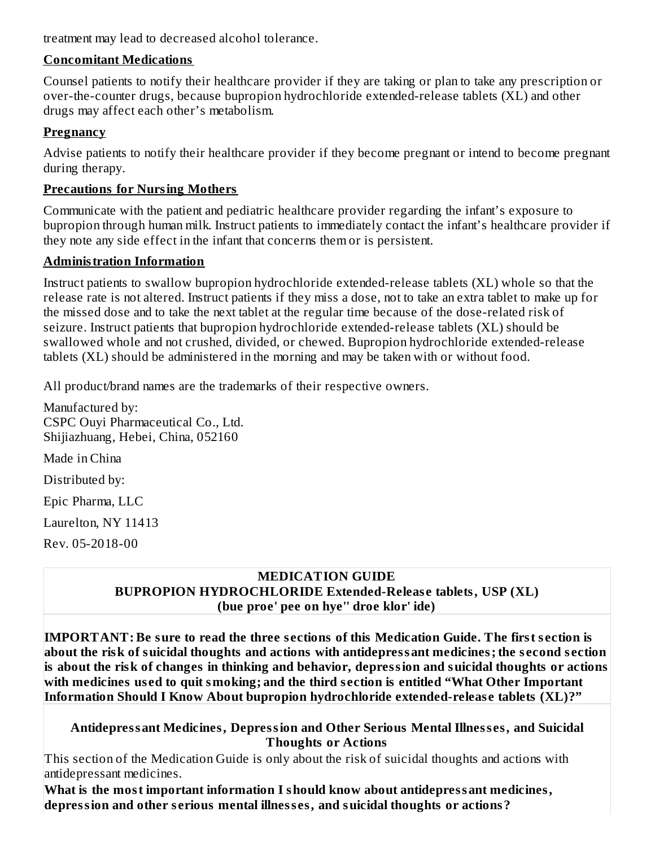treatment may lead to decreased alcohol tolerance.

#### **Concomitant Medications**

Counsel patients to notify their healthcare provider if they are taking or plan to take any prescription or over-the-counter drugs, because bupropion hydrochloride extended-release tablets (XL) and other drugs may affect each other's metabolism.

#### **Pregnancy**

Advise patients to notify their healthcare provider if they become pregnant or intend to become pregnant during therapy.

#### **Precautions for Nursing Mothers**

Communicate with the patient and pediatric healthcare provider regarding the infant's exposure to bupropion through human milk. Instruct patients to immediately contact the infant's healthcare provider if they note any side effect in the infant that concerns them or is persistent.

#### **Administration Information**

Instruct patients to swallow bupropion hydrochloride extended-release tablets (XL) whole so that the release rate is not altered. Instruct patients if they miss a dose, not to take an extra tablet to make up for the missed dose and to take the next tablet at the regular time because of the dose-related risk of seizure. Instruct patients that bupropion hydrochloride extended-release tablets (XL) should be swallowed whole and not crushed, divided, or chewed. Bupropion hydrochloride extended-release tablets (XL) should be administered in the morning and may be taken with or without food.

All product/brand names are the trademarks of their respective owners.

Manufactured by: CSPC Ouyi Pharmaceutical Co., Ltd. Shijiazhuang, Hebei, China, 052160 Made in China

Distributed by:

Epic Pharma, LLC

Laurelton, NY 11413

Rev. 05-2018-00

#### **MEDICATION GUIDE BUPROPION HYDROCHLORIDE Extended-Releas e tablets, USP (XL) (bue proe' pee on hye'' droe klor' ide)**

**IMPORTANT: Be sure to read the three s ections of this Medication Guide. The first s ection is about the risk of suicidal thoughts and actions with antidepressant medicines; the s econd s ection is about the risk of changes in thinking and behavior, depression and suicidal thoughts or actions with medicines us ed to quit smoking; and the third s ection is entitled "What Other Important Information Should I Know About bupropion hydrochloride extended-releas e tablets (XL)?"**

#### **Antidepressant Medicines, Depression and Other Serious Mental Illness es, and Suicidal Thoughts or Actions**

This section of the Medication Guide is only about the risk of suicidal thoughts and actions with antidepressant medicines.

**What is the most important information I should know about antidepressant medicines, depression and other s erious mental illness es, and suicidal thoughts or actions?**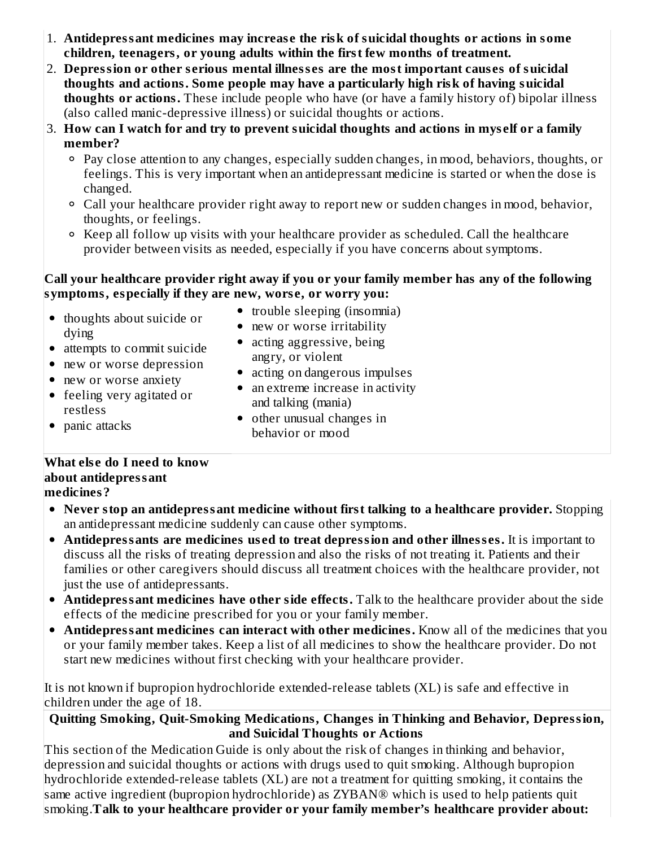- 1. **Antidepressant medicines may increas e the risk of suicidal thoughts or actions in some children, teenagers, or young adults within the first few months of treatment.**
- 2. **Depression or other s erious mental illness es are the most important caus es of suicidal thoughts and actions. Some people may have a particularly high risk of having suicidal thoughts or actions.** These include people who have (or have a family history of) bipolar illness (also called manic-depressive illness) or suicidal thoughts or actions.
- 3. How can I watch for and try to prevent suicidal thoughts and actions in myself or a family **member?**
	- Pay close attention to any changes, especially sudden changes, in mood, behaviors, thoughts, or feelings. This is very important when an antidepressant medicine is started or when the dose is changed.
	- Call your healthcare provider right away to report new or sudden changes in mood, behavior, thoughts, or feelings.
	- Keep all follow up visits with your healthcare provider as scheduled. Call the healthcare provider between visits as needed, especially if you have concerns about symptoms.

#### **Call your healthcare provider right away if you or your family member has any of the following symptoms, especially if they are new, wors e, or worry you:**

- thoughts about suicide or dying
- attempts to commit suicide
- new or worse depression
- new or worse anxiety
- feeling very agitated or restless
- panic attacks
- trouble sleeping (insomnia)
- new or worse irritability
- acting aggressive, being angry, or violent
- acting on dangerous impulses
- an extreme increase in activity and talking (mania)
- other unusual changes in behavior or mood

#### **What els e do I need to know about antidepressant medicines?**

- **Never stop an antidepressant medicine without first talking to a healthcare provider.** Stopping an antidepressant medicine suddenly can cause other symptoms.
- **Antidepressants are medicines us ed to treat depression and other illness es.** It is important to discuss all the risks of treating depression and also the risks of not treating it. Patients and their families or other caregivers should discuss all treatment choices with the healthcare provider, not just the use of antidepressants.
- **Antidepressant medicines have other side effects.** Talk to the healthcare provider about the side effects of the medicine prescribed for you or your family member.
- **Antidepressant medicines can interact with other medicines.** Know all of the medicines that you or your family member takes. Keep a list of all medicines to show the healthcare provider. Do not start new medicines without first checking with your healthcare provider.

It is not known if bupropion hydrochloride extended-release tablets (XL) is safe and effective in children under the age of 18.

#### **Quitting Smoking, Quit-Smoking Medications, Changes in Thinking and Behavior, Depression, and Suicidal Thoughts or Actions**

This section of the Medication Guide is only about the risk of changes in thinking and behavior, depression and suicidal thoughts or actions with drugs used to quit smoking. Although bupropion hydrochloride extended-release tablets (XL) are not a treatment for quitting smoking, it contains the same active ingredient (bupropion hydrochloride) as ZYBAN® which is used to help patients quit smoking.**Talk to your healthcare provider or your family member's healthcare provider about:**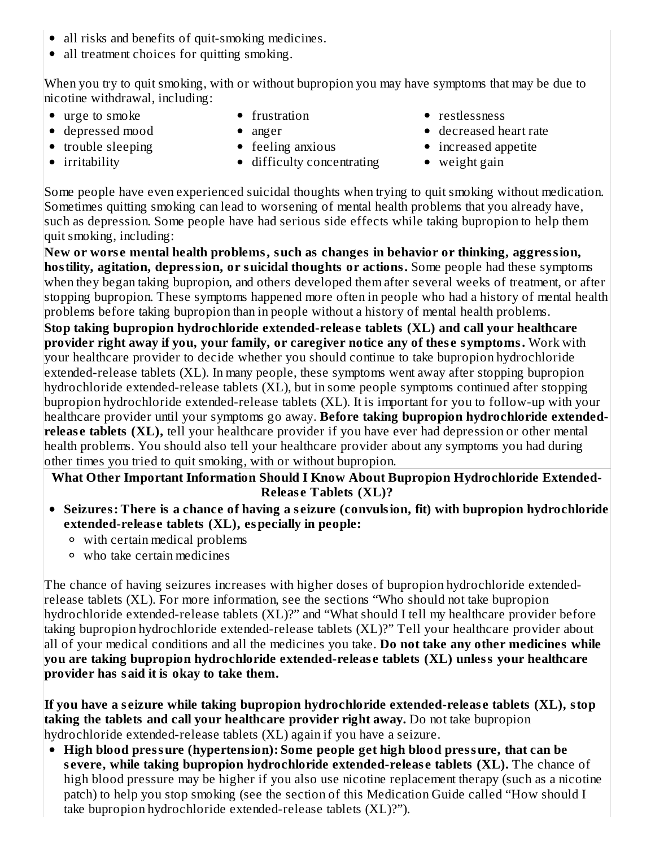- all risks and benefits of quit-smoking medicines.
- all treatment choices for quitting smoking.

When you try to quit smoking, with or without bupropion you may have symptoms that may be due to nicotine withdrawal, including:

- urge to smoke
- depressed mood
- trouble sleeping
- irritability
- frustration
- anger
- feeling anxious
- difficulty concentrating
- restlessness
- decreased heart rate
- increased appetite
- weight gain

Some people have even experienced suicidal thoughts when trying to quit smoking without medication. Sometimes quitting smoking can lead to worsening of mental health problems that you already have, such as depression. Some people have had serious side effects while taking bupropion to help them quit smoking, including:

**New or wors e mental health problems, such as changes in behavior or thinking, aggression, hostility, agitation, depression, or suicidal thoughts or actions.** Some people had these symptoms when they began taking bupropion, and others developed them after several weeks of treatment, or after stopping bupropion. These symptoms happened more often in people who had a history of mental health problems before taking bupropion than in people without a history of mental health problems.

**Stop taking bupropion hydrochloride extended-releas e tablets (XL) and call your healthcare provider right away if you, your family, or caregiver notice any of thes e symptoms.** Work with your healthcare provider to decide whether you should continue to take bupropion hydrochloride extended-release tablets (XL). In many people, these symptoms went away after stopping bupropion hydrochloride extended-release tablets (XL), but in some people symptoms continued after stopping bupropion hydrochloride extended-release tablets (XL). It is important for you to follow-up with your healthcare provider until your symptoms go away. **Before taking bupropion hydrochloride extendedreleas e tablets (XL),** tell your healthcare provider if you have ever had depression or other mental health problems. You should also tell your healthcare provider about any symptoms you had during other times you tried to quit smoking, with or without bupropion.

#### **What Other Important Information Should I Know About Bupropion Hydrochloride Extended-Releas e Tablets (XL)?**

- **Seizures: There is a chance of having a s eizure (convulsion, fit) with bupropion hydrochloride extended-releas e tablets (XL), especially in people:**
	- with certain medical problems
	- who take certain medicines

The chance of having seizures increases with higher doses of bupropion hydrochloride extendedrelease tablets (XL). For more information, see the sections "Who should not take bupropion hydrochloride extended-release tablets (XL)?" and "What should I tell my healthcare provider before taking bupropion hydrochloride extended-release tablets (XL)?" Tell your healthcare provider about all of your medical conditions and all the medicines you take. **Do not take any other medicines while you are taking bupropion hydrochloride extended-releas e tablets (XL) unless your healthcare provider has said it is okay to take them.**

**If you have a s eizure while taking bupropion hydrochloride extended-releas e tablets (XL), stop taking the tablets and call your healthcare provider right away.** Do not take bupropion hydrochloride extended-release tablets (XL) again if you have a seizure.

**High blood pressure (hypertension): Some people get high blood pressure, that can be s evere, while taking bupropion hydrochloride extended-releas e tablets (XL).** The chance of high blood pressure may be higher if you also use nicotine replacement therapy (such as a nicotine patch) to help you stop smoking (see the section of this Medication Guide called "How should I take bupropion hydrochloride extended-release tablets (XL)?").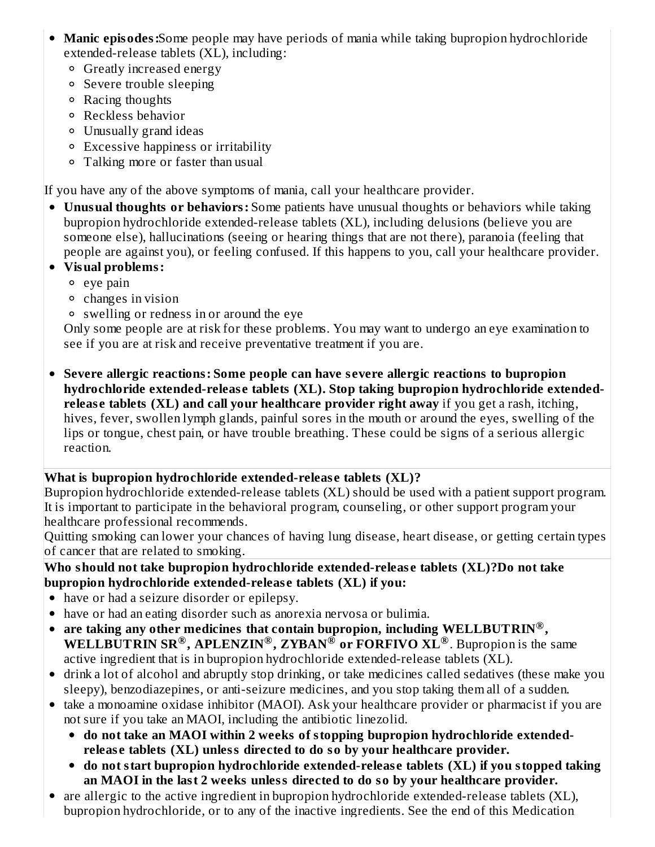- **Manic episodes:**Some people may have periods of mania while taking bupropion hydrochloride extended-release tablets (XL), including:
	- Greatly increased energy
	- Severe trouble sleeping
	- Racing thoughts
	- Reckless behavior
	- Unusually grand ideas
	- Excessive happiness or irritability
	- Talking more or faster than usual

If you have any of the above symptoms of mania, call your healthcare provider.

**Unusual thoughts or behaviors:** Some patients have unusual thoughts or behaviors while taking bupropion hydrochloride extended-release tablets (XL), including delusions (believe you are someone else), hallucinations (seeing or hearing things that are not there), paranoia (feeling that people are against you), or feeling confused. If this happens to you, call your healthcare provider.

# **Visual problems:**

- eye pain
- changes in vision
- swelling or redness in or around the eye

Only some people are at risk for these problems. You may want to undergo an eye examination to see if you are at risk and receive preventative treatment if you are.

**Severe allergic reactions: Some people can have s evere allergic reactions to bupropion hydrochloride extended-releas e tablets (XL). Stop taking bupropion hydrochloride extendedreleas e tablets (XL) and call your healthcare provider right away** if you get a rash, itching, hives, fever, swollen lymph glands, painful sores in the mouth or around the eyes, swelling of the lips or tongue, chest pain, or have trouble breathing. These could be signs of a serious allergic reaction.

# **What is bupropion hydrochloride extended-releas e tablets (XL)?**

Bupropion hydrochloride extended-release tablets (XL) should be used with a patient support program. It is important to participate in the behavioral program, counseling, or other support program your healthcare professional recommends.

Quitting smoking can lower your chances of having lung disease, heart disease, or getting certain types of cancer that are related to smoking.

**Who should not take bupropion hydrochloride extended-releas e tablets (XL)?Do not take bupropion hydrochloride extended-releas e tablets (XL) if you:**

- have or had a seizure disorder or epilepsy.
- have or had an eating disorder such as anorexia nervosa or bulimia.
- **are taking any other medicines that contain bupropion, including WELLBUTRIN , ® WELLBUTRIN SR<sup>®</sup>, APLENZIN<sup>®</sup>, ZYBAN<sup>®</sup> or FORFIVO XL<sup>®</sup>. Bupropion is the same** active ingredient that is in bupropion hydrochloride extended-release tablets (XL).
- drink a lot of alcohol and abruptly stop drinking, or take medicines called sedatives (these make you sleepy), benzodiazepines, or anti-seizure medicines, and you stop taking them all of a sudden.
- take a monoamine oxidase inhibitor (MAOI). Ask your healthcare provider or pharmacist if you are not sure if you take an MAOI, including the antibiotic linezolid.
	- **do not take an MAOI within 2 weeks of stopping bupropion hydrochloride extendedreleas e tablets (XL) unless directed to do so by your healthcare provider.**
	- **do not start bupropion hydrochloride extended-releas e tablets (XL) if you stopped taking an MAOI in the last 2 weeks unless directed to do so by your healthcare provider.**
- are allergic to the active ingredient in bupropion hydrochloride extended-release tablets (XL), bupropion hydrochloride, or to any of the inactive ingredients. See the end of this Medication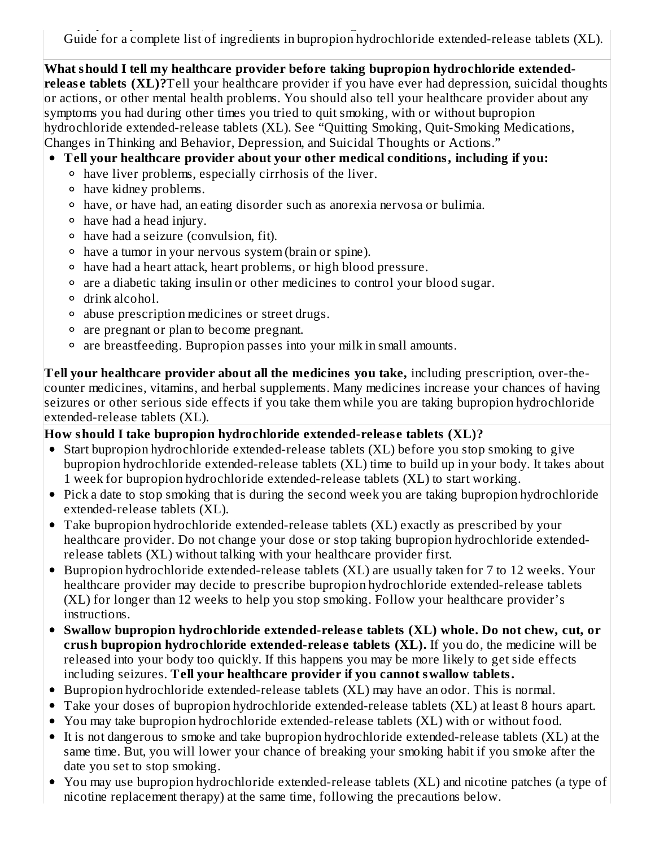bupropion hydrochloride, or to any of the inactive ingredients. See the end of this Medication Guide for a complete list of ingredients in bupropion hydrochloride extended-release tablets (XL).

**What should I tell my healthcare provider before taking bupropion hydrochloride extendedrelease tablets (XL)?Tell your healthcare provider if you have ever had depression, suicidal thoughts** or actions, or other mental health problems. You should also tell your healthcare provider about any symptoms you had during other times you tried to quit smoking, with or without bupropion hydrochloride extended-release tablets (XL). See "Quitting Smoking, Quit-Smoking Medications, Changes in Thinking and Behavior, Depression, and Suicidal Thoughts or Actions."

- **Tell your healthcare provider about your other medical conditions, including if you:**
	- have liver problems, especially cirrhosis of the liver.
	- have kidney problems.
	- have, or have had, an eating disorder such as anorexia nervosa or bulimia.
	- have had a head injury.
	- have had a seizure (convulsion, fit).
	- have a tumor in your nervous system (brain or spine).
	- have had a heart attack, heart problems, or high blood pressure.
	- are a diabetic taking insulin or other medicines to control your blood sugar.
	- drink alcohol.
	- abuse prescription medicines or street drugs.
	- are pregnant or plan to become pregnant.
	- are breastfeeding. Bupropion passes into your milk in small amounts.

**Tell your healthcare provider about all the medicines you take,** including prescription, over-thecounter medicines, vitamins, and herbal supplements. Many medicines increase your chances of having seizures or other serious side effects if you take them while you are taking bupropion hydrochloride extended-release tablets (XL).

# **How should I take bupropion hydrochloride extended-releas e tablets (XL)?**

- Start bupropion hydrochloride extended-release tablets (XL) before you stop smoking to give bupropion hydrochloride extended-release tablets (XL) time to build up in your body. It takes about 1 week for bupropion hydrochloride extended-release tablets (XL) to start working.
- Pick a date to stop smoking that is during the second week you are taking bupropion hydrochloride extended-release tablets (XL).
- Take bupropion hydrochloride extended-release tablets (XL) exactly as prescribed by your healthcare provider. Do not change your dose or stop taking bupropion hydrochloride extendedrelease tablets (XL) without talking with your healthcare provider first.
- Bupropion hydrochloride extended-release tablets (XL) are usually taken for 7 to 12 weeks. Your healthcare provider may decide to prescribe bupropion hydrochloride extended-release tablets (XL) for longer than 12 weeks to help you stop smoking. Follow your healthcare provider's instructions.
- **Swallow bupropion hydrochloride extended-releas e tablets (XL) whole. Do not chew, cut, or crush bupropion hydrochloride extended-releas e tablets (XL).** If you do, the medicine will be released into your body too quickly. If this happens you may be more likely to get side effects including seizures. **Tell your healthcare provider if you cannot swallow tablets.**
- Bupropion hydrochloride extended-release tablets (XL) may have an odor. This is normal.
- Take your doses of bupropion hydrochloride extended-release tablets (XL) at least 8 hours apart.
- You may take bupropion hydrochloride extended-release tablets (XL) with or without food.
- It is not dangerous to smoke and take bupropion hydrochloride extended-release tablets (XL) at the same time. But, you will lower your chance of breaking your smoking habit if you smoke after the date you set to stop smoking.
- You may use bupropion hydrochloride extended-release tablets (XL) and nicotine patches (a type of nicotine replacement therapy) at the same time, following the precautions below.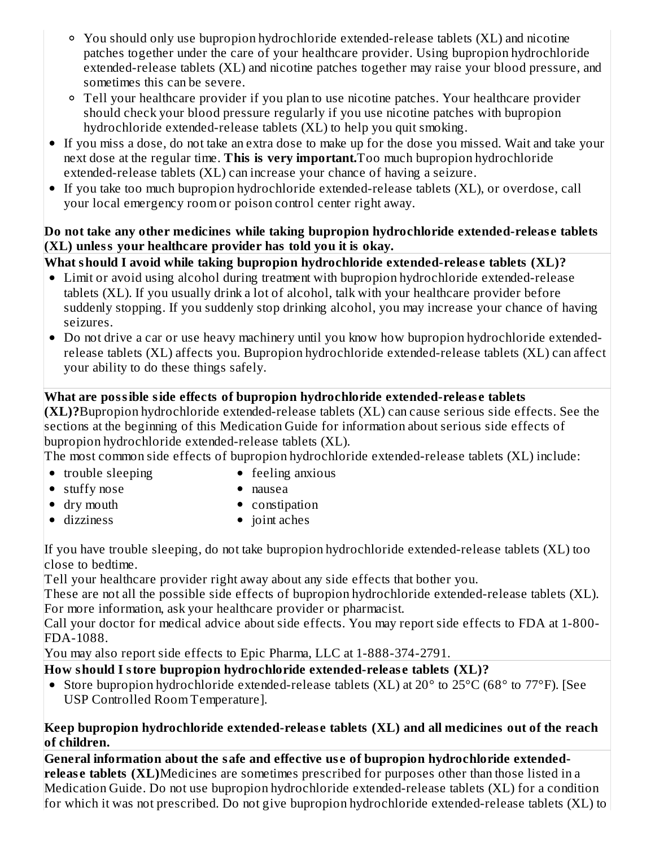- You should only use bupropion hydrochloride extended-release tablets (XL) and nicotine patches together under the care of your healthcare provider. Using bupropion hydrochloride extended-release tablets (XL) and nicotine patches together may raise your blood pressure, and sometimes this can be severe.
- Tell your healthcare provider if you plan to use nicotine patches. Your healthcare provider should check your blood pressure regularly if you use nicotine patches with bupropion hydrochloride extended-release tablets (XL) to help you quit smoking.
- If you miss a dose, do not take an extra dose to make up for the dose you missed. Wait and take your next dose at the regular time. **This is very important.**Too much bupropion hydrochloride extended-release tablets (XL) can increase your chance of having a seizure.
- If you take too much bupropion hydrochloride extended-release tablets (XL), or overdose, call your local emergency room or poison control center right away.

#### **Do not take any other medicines while taking bupropion hydrochloride extended-releas e tablets (XL) unless your healthcare provider has told you it is okay.**

**What should I avoid while taking bupropion hydrochloride extended-releas e tablets (XL)?**

- Limit or avoid using alcohol during treatment with bupropion hydrochloride extended-release tablets (XL). If you usually drink a lot of alcohol, talk with your healthcare provider before suddenly stopping. If you suddenly stop drinking alcohol, you may increase your chance of having seizures.
- Do not drive a car or use heavy machinery until you know how bupropion hydrochloride extendedrelease tablets (XL) affects you. Bupropion hydrochloride extended-release tablets (XL) can affect your ability to do these things safely.

# **What are possible side effects of bupropion hydrochloride extended-releas e tablets**

**(XL)?**Bupropion hydrochloride extended-release tablets (XL) can cause serious side effects. See the sections at the beginning of this Medication Guide for information about serious side effects of bupropion hydrochloride extended-release tablets (XL).

The most common side effects of bupropion hydrochloride extended-release tablets (XL) include:

- trouble sleeping
- feeling anxious

stuffy nose

nausea • constipation

• dry mouth dizziness

• joint aches

If you have trouble sleeping, do not take bupropion hydrochloride extended-release tablets (XL) too close to bedtime.

Tell your healthcare provider right away about any side effects that bother you.

These are not all the possible side effects of bupropion hydrochloride extended-release tablets (XL). For more information, ask your healthcare provider or pharmacist.

Call your doctor for medical advice about side effects. You may report side effects to FDA at 1-800- FDA-1088.

You may also report side effects to Epic Pharma, LLC at 1-888-374-2791.

# **How should I store bupropion hydrochloride extended-releas e tablets (XL)?**

Store bupropion hydrochloride extended-release tablets (XL) at 20° to 25°C (68° to 77°F). [See USP Controlled Room Temperature].

#### **Keep bupropion hydrochloride extended-releas e tablets (XL) and all medicines out of the reach of children.**

**General information about the safe and effective us e of bupropion hydrochloride extendedrelease tablets** (XL)Medicines are sometimes prescribed for purposes other than those listed in a Medication Guide. Do not use bupropion hydrochloride extended-release tablets (XL) for a condition for which it was not prescribed. Do not give bupropion hydrochloride extended-release tablets (XL) to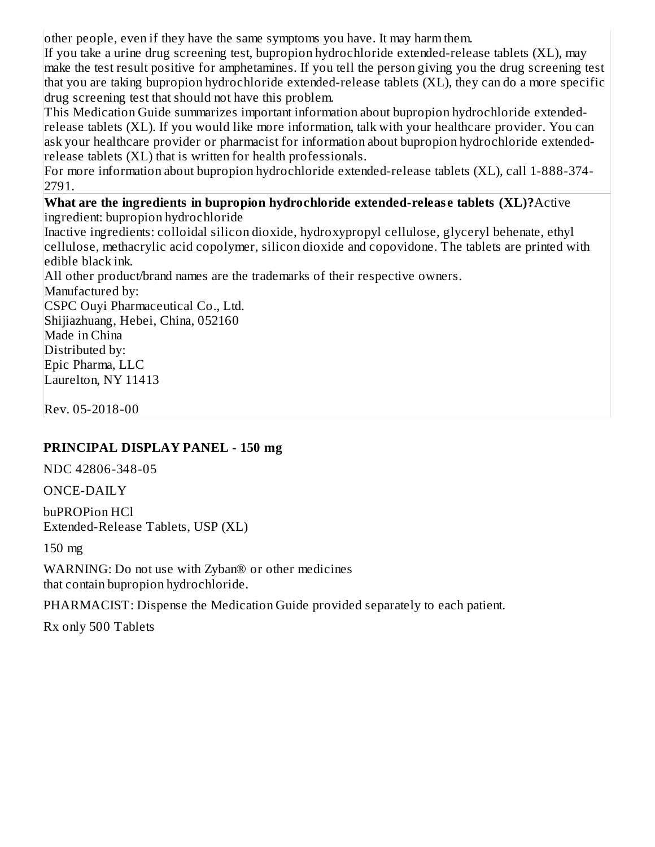other people, even if they have the same symptoms you have. It may harm them.

If you take a urine drug screening test, bupropion hydrochloride extended-release tablets (XL), may make the test result positive for amphetamines. If you tell the person giving you the drug screening test that you are taking bupropion hydrochloride extended-release tablets (XL), they can do a more specific drug screening test that should not have this problem.

This Medication Guide summarizes important information about bupropion hydrochloride extendedrelease tablets (XL). If you would like more information, talk with your healthcare provider. You can ask your healthcare provider or pharmacist for information about bupropion hydrochloride extendedrelease tablets (XL) that is written for health professionals.

For more information about bupropion hydrochloride extended-release tablets (XL), call 1-888-374- 2791.

#### **What are the ingredients in bupropion hydrochloride extended-releas e tablets (XL)?**Active ingredient: bupropion hydrochloride

Inactive ingredients: colloidal silicon dioxide, hydroxypropyl cellulose, glyceryl behenate, ethyl cellulose, methacrylic acid copolymer, silicon dioxide and copovidone. The tablets are printed with edible black ink.

All other product/brand names are the trademarks of their respective owners.

Manufactured by:

CSPC Ouyi Pharmaceutical Co., Ltd.

Shijiazhuang, Hebei, China, 052160

Made in China Distributed by:

Epic Pharma, LLC Laurelton, NY 11413

Rev. 05-2018-00

### **PRINCIPAL DISPLAY PANEL - 150 mg**

NDC 42806-348-05

ONCE-DAILY

buPROPion HCl Extended-Release Tablets, USP (XL)

150 mg

WARNING: Do not use with Zyban® or other medicines that contain bupropion hydrochloride.

PHARMACIST: Dispense the Medication Guide provided separately to each patient.

Rx only 500 Tablets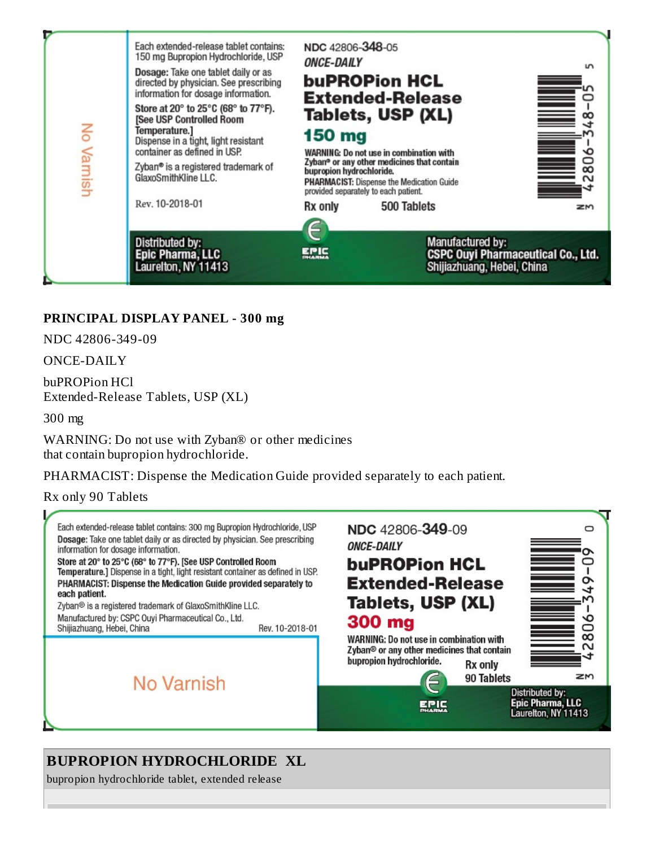

#### **PRINCIPAL DISPLAY PANEL - 300 mg**

NDC 42806-349-09

ONCE-DAILY

buPROPion HCl Extended-Release Tablets, USP (XL)

300 mg

WARNING: Do not use with Zyban® or other medicines that contain bupropion hydrochloride.

PHARMACIST: Dispense the Medication Guide provided separately to each patient.

Rx only 90 Tablets



# **BUPROPION HYDROCHLORIDE XL**

bupropion hydrochloride tablet, extended release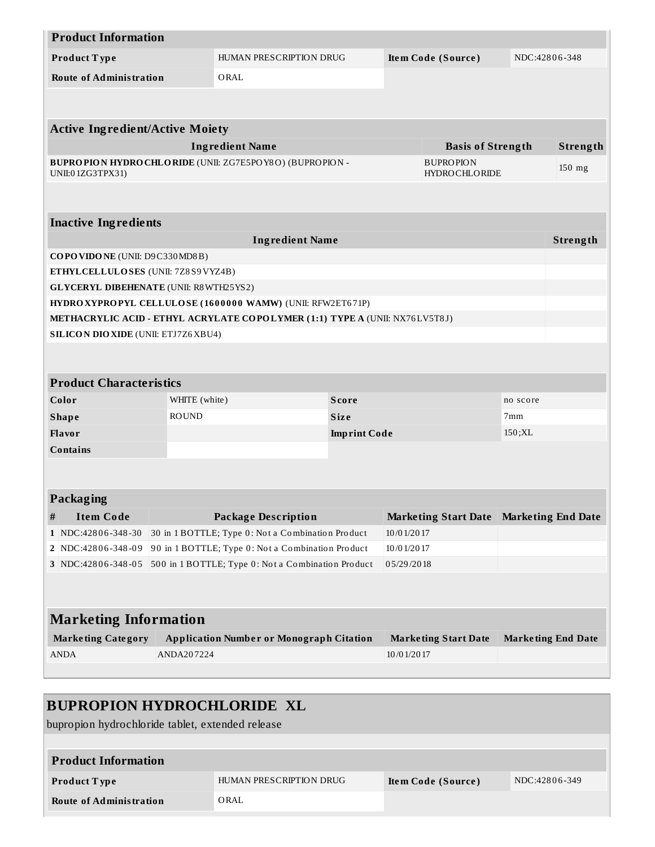| <b>Product Information</b>                                                  |               |                                                                             |                                          |            |                             |                  |                           |
|-----------------------------------------------------------------------------|---------------|-----------------------------------------------------------------------------|------------------------------------------|------------|-----------------------------|------------------|---------------------------|
| Product Type                                                                |               | HUMAN PRESCRIPTION DRUG<br>Item Code (Source)<br>NDC:42806-348              |                                          |            |                             |                  |                           |
|                                                                             |               |                                                                             |                                          |            |                             |                  |                           |
| <b>Route of Administration</b>                                              |               | ORAL                                                                        |                                          |            |                             |                  |                           |
|                                                                             |               |                                                                             |                                          |            |                             |                  |                           |
| <b>Active Ingredient/Active Moiety</b>                                      |               |                                                                             |                                          |            |                             |                  |                           |
| <b>Ingredient Name</b><br><b>Basis of Strength</b><br>Strength              |               |                                                                             |                                          |            |                             |                  |                           |
| BUPROPION HYDROCHLORIDE (UNII: ZG7E5POY8O) (BUPROPION -<br>UNII:01ZG3TPX31) |               |                                                                             | <b>BUPROPION</b><br><b>HYDROCHLORIDE</b> |            | 150 mg                      |                  |                           |
|                                                                             |               |                                                                             |                                          |            |                             |                  |                           |
| <b>Inactive Ingredients</b>                                                 |               |                                                                             |                                          |            |                             |                  |                           |
|                                                                             |               | <b>Ingredient Name</b>                                                      |                                          |            |                             |                  | Strength                  |
| COPOVIDONE (UNII: D9C330MD8B)                                               |               |                                                                             |                                          |            |                             |                  |                           |
| ETHYLCELLULOSES (UNII: 7Z8S9VYZ4B)                                          |               |                                                                             |                                          |            |                             |                  |                           |
| <b>GLYCERYL DIBEHENATE (UNII: R8WTH25YS2)</b>                               |               |                                                                             |                                          |            |                             |                  |                           |
|                                                                             |               | HYDRO XYPROPYL CELLULOSE (1600000 WAMW) (UNII: RFW2ET671P)                  |                                          |            |                             |                  |                           |
|                                                                             |               | METHACRYLIC ACID - ETHYL ACRYLATE COPOLYMER (1:1) TYPE A (UNII: NX76LV5T8J) |                                          |            |                             |                  |                           |
| <b>SILICON DIO XIDE (UNII: ETJ7Z6 XBU4)</b>                                 |               |                                                                             |                                          |            |                             |                  |                           |
|                                                                             |               |                                                                             |                                          |            |                             |                  |                           |
| <b>Product Characteristics</b>                                              |               |                                                                             |                                          |            |                             |                  |                           |
| Color                                                                       | WHITE (white) |                                                                             | <b>Score</b>                             |            |                             | no score         |                           |
| <b>Shape</b>                                                                | <b>ROUND</b>  |                                                                             | <b>Size</b>                              |            |                             | 7mm              |                           |
| Flavor                                                                      |               |                                                                             | <b>Imprint Code</b>                      |            |                             | $150; \text{XL}$ |                           |
| <b>Contains</b>                                                             |               |                                                                             |                                          |            |                             |                  |                           |
|                                                                             |               |                                                                             |                                          |            |                             |                  |                           |
| <b>Packaging</b>                                                            |               |                                                                             |                                          |            |                             |                  |                           |
| <b>Item Code</b><br>#                                                       |               | <b>Package Description</b>                                                  |                                          |            | <b>Marketing Start Date</b> |                  | <b>Marketing End Date</b> |
| 1 NDC:42806-348-30                                                          |               | 30 in 1 BOTTLE; Type 0: Not a Combination Product                           |                                          | 10/01/2017 |                             |                  |                           |
| 2 NDC:42806-348-09                                                          |               | 90 in 1 BOTTLE; Type 0: Not a Combination Product                           |                                          | 10/01/2017 |                             |                  |                           |
| 3 NDC:42806-348-05                                                          |               | 500 in 1 BOTTLE; Type 0: Not a Combination Product                          |                                          | 05/29/2018 |                             |                  |                           |
|                                                                             |               |                                                                             |                                          |            |                             |                  |                           |
|                                                                             |               |                                                                             |                                          |            |                             |                  |                           |
| <b>Marketing Information</b>                                                |               |                                                                             |                                          |            |                             |                  |                           |
| <b>Marketing Category</b>                                                   |               | <b>Application Number or Monograph Citation</b>                             |                                          |            | <b>Marketing Start Date</b> |                  | <b>Marketing End Date</b> |
| <b>ANDA</b>                                                                 | ANDA207224    |                                                                             |                                          | 10/01/2017 |                             |                  |                           |
|                                                                             |               |                                                                             |                                          |            |                             |                  |                           |
|                                                                             |               |                                                                             |                                          |            |                             |                  |                           |
| <b>BUPROPION HYDROCHLORIDE XL</b>                                           |               |                                                                             |                                          |            |                             |                  |                           |
| bupropion hydrochloride tablet, extended release                            |               |                                                                             |                                          |            |                             |                  |                           |
|                                                                             |               |                                                                             |                                          |            |                             |                  |                           |

| <b>Product Information</b>     |                         |                    |               |  |  |  |  |
|--------------------------------|-------------------------|--------------------|---------------|--|--|--|--|
| Product Type                   | HUMAN PRESCRIPTION DRUG | Item Code (Source) | NDC:42806-349 |  |  |  |  |
| <b>Route of Administration</b> | ORAL                    |                    |               |  |  |  |  |